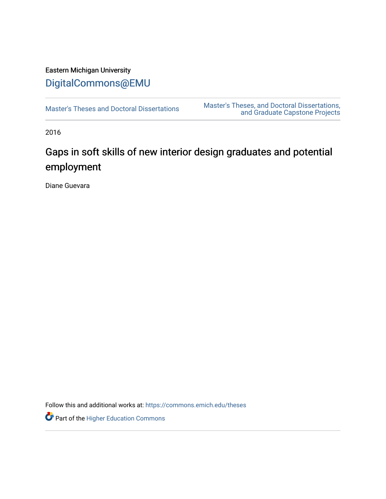# Eastern Michigan University [DigitalCommons@EMU](https://commons.emich.edu/)

[Master's Theses and Doctoral Dissertations](https://commons.emich.edu/theses) [Master's Theses, and Doctoral Dissertations,](https://commons.emich.edu/etd)  [and Graduate Capstone Projects](https://commons.emich.edu/etd) 

2016

# Gaps in soft skills of new interior design graduates and potential employment

Diane Guevara

Follow this and additional works at: [https://commons.emich.edu/theses](https://commons.emich.edu/theses?utm_source=commons.emich.edu%2Ftheses%2F1144&utm_medium=PDF&utm_campaign=PDFCoverPages) 

Part of the [Higher Education Commons](https://network.bepress.com/hgg/discipline/1245?utm_source=commons.emich.edu%2Ftheses%2F1144&utm_medium=PDF&utm_campaign=PDFCoverPages)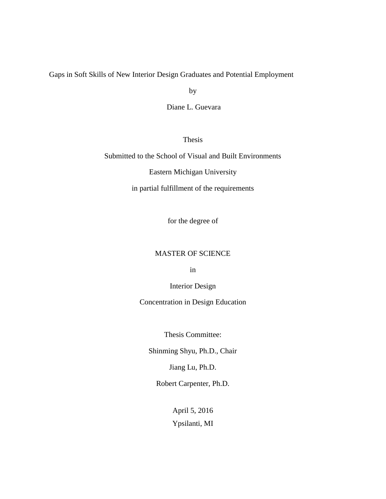Gaps in Soft Skills of New Interior Design Graduates and Potential Employment

by

Diane L. Guevara

Thesis

Submitted to the School of Visual and Built Environments

Eastern Michigan University

in partial fulfillment of the requirements

for the degree of

#### MASTER OF SCIENCE

in

Interior Design

Concentration in Design Education

Thesis Committee:

Shinming Shyu, Ph.D., Chair

Jiang Lu, Ph.D.

Robert Carpenter, Ph.D.

April 5, 2016 Ypsilanti, MI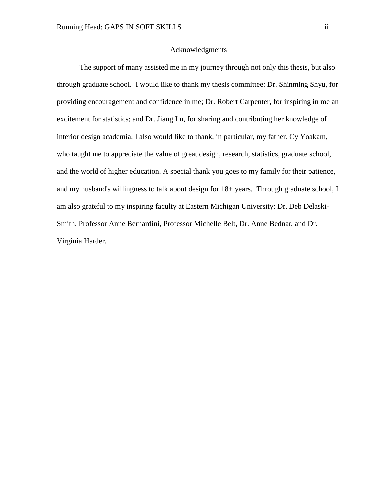#### Acknowledgments

The support of many assisted me in my journey through not only this thesis, but also through graduate school. I would like to thank my thesis committee: Dr. Shinming Shyu, for providing encouragement and confidence in me; Dr. Robert Carpenter, for inspiring in me an excitement for statistics; and Dr. Jiang Lu, for sharing and contributing her knowledge of interior design academia. I also would like to thank, in particular, my father, Cy Yoakam, who taught me to appreciate the value of great design, research, statistics, graduate school, and the world of higher education. A special thank you goes to my family for their patience, and my husband's willingness to talk about design for 18+ years. Through graduate school, I am also grateful to my inspiring faculty at Eastern Michigan University: Dr. Deb Delaski-Smith, Professor Anne Bernardini, Professor Michelle Belt, Dr. Anne Bednar, and Dr. Virginia Harder.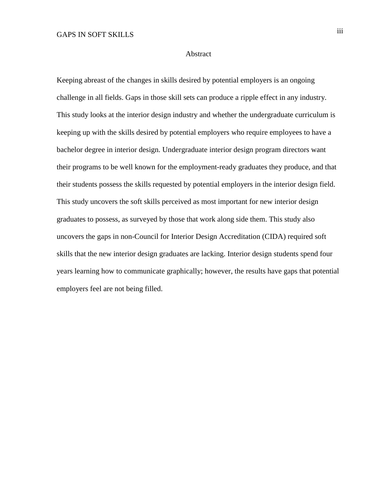#### Abstract

Keeping abreast of the changes in skills desired by potential employers is an ongoing challenge in all fields. Gaps in those skill sets can produce a ripple effect in any industry. This study looks at the interior design industry and whether the undergraduate curriculum is keeping up with the skills desired by potential employers who require employees to have a bachelor degree in interior design. Undergraduate interior design program directors want their programs to be well known for the employment-ready graduates they produce, and that their students possess the skills requested by potential employers in the interior design field. This study uncovers the soft skills perceived as most important for new interior design graduates to possess, as surveyed by those that work along side them. This study also uncovers the gaps in non-Council for Interior Design Accreditation (CIDA) required soft skills that the new interior design graduates are lacking. Interior design students spend four years learning how to communicate graphically; however, the results have gaps that potential employers feel are not being filled.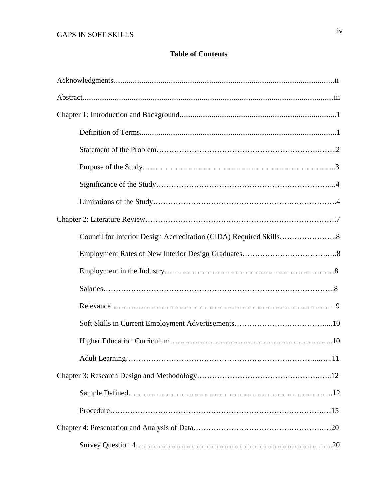#### **Table of Contents**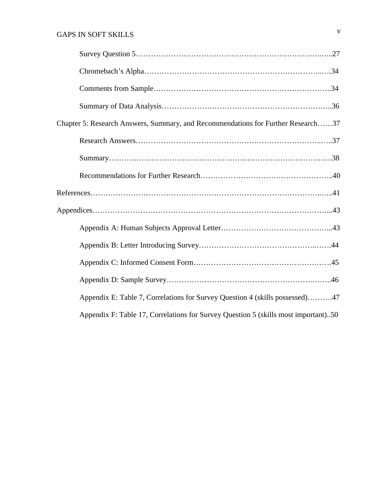| Chapter 5: Research Answers, Summary, and Recommendations for Further Research37   |
|------------------------------------------------------------------------------------|
|                                                                                    |
|                                                                                    |
|                                                                                    |
|                                                                                    |
|                                                                                    |
|                                                                                    |
|                                                                                    |
|                                                                                    |
|                                                                                    |
| Appendix E: Table 7, Correlations for Survey Question 4 (skills possessed)47       |
| Appendix F: Table 17, Correlations for Survey Question 5 (skills most important)50 |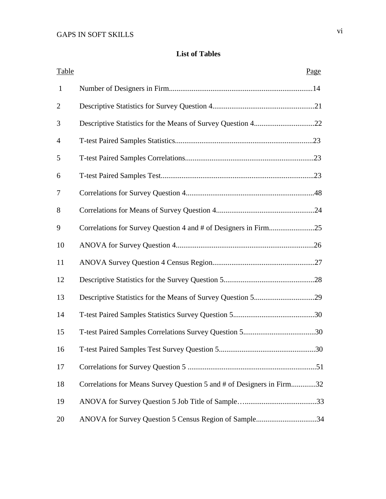## **List of Tables**

| <b>Table</b>   | <u>Page</u>                                                           |
|----------------|-----------------------------------------------------------------------|
| $\mathbf{1}$   |                                                                       |
| $\overline{2}$ |                                                                       |
| 3              |                                                                       |
| $\overline{4}$ |                                                                       |
| 5              |                                                                       |
| 6              |                                                                       |
| 7              |                                                                       |
| 8              |                                                                       |
| 9              | Correlations for Survey Question 4 and # of Designers in Firm25       |
| 10             |                                                                       |
| 11             |                                                                       |
| 12             |                                                                       |
| 13             |                                                                       |
| 14             |                                                                       |
| 15             |                                                                       |
| 16             |                                                                       |
| 17             |                                                                       |
| 18             | Correlations for Means Survey Question 5 and # of Designers in Firm32 |
| 19             |                                                                       |
| 20             | ANOVA for Survey Question 5 Census Region of Sample34                 |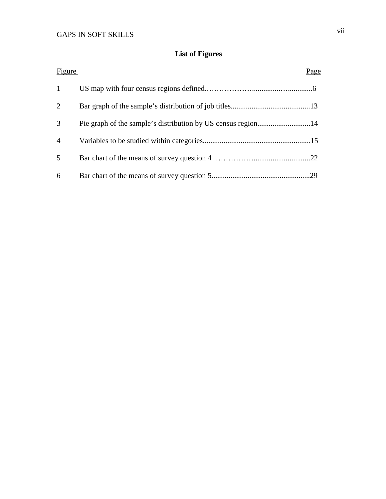# **List of Figures**

| Figure         | Page |
|----------------|------|
| 1              |      |
| 2              |      |
| 3              |      |
| $\overline{4}$ |      |
| 5              |      |
| 6              |      |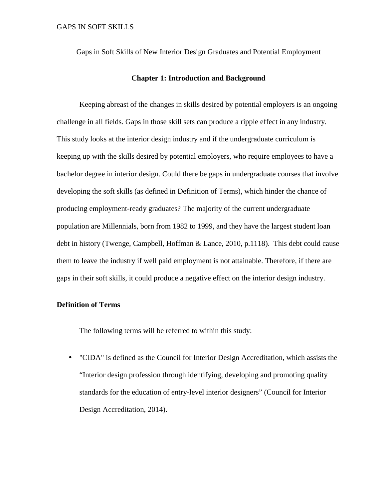Gaps in Soft Skills of New Interior Design Graduates and Potential Employment

#### **Chapter 1: Introduction and Background**

Keeping abreast of the changes in skills desired by potential employers is an ongoing challenge in all fields. Gaps in those skill sets can produce a ripple effect in any industry. This study looks at the interior design industry and if the undergraduate curriculum is keeping up with the skills desired by potential employers, who require employees to have a bachelor degree in interior design. Could there be gaps in undergraduate courses that involve developing the soft skills (as defined in Definition of Terms), which hinder the chance of producing employment-ready graduates? The majority of the current undergraduate population are Millennials, born from 1982 to 1999, and they have the largest student loan debt in history (Twenge, Campbell, Hoffman & Lance, 2010, p.1118). This debt could cause them to leave the industry if well paid employment is not attainable. Therefore, if there are gaps in their soft skills, it could produce a negative effect on the interior design industry.

#### **Definition of Terms**

The following terms will be referred to within this study:

• "CIDA" is defined as the Council for Interior Design Accreditation, which assists the "Interior design profession through identifying, developing and promoting quality standards for the education of entry-level interior designers" (Council for Interior Design Accreditation, 2014).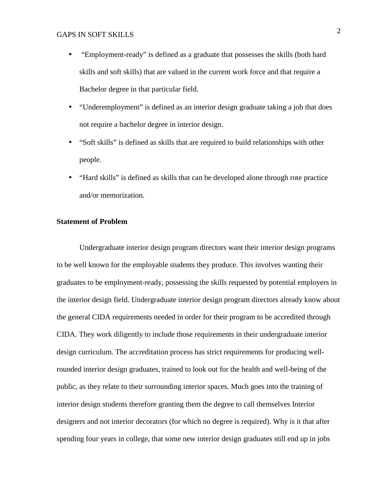- "Employment-ready" is defined as a graduate that possesses the skills (both hard skills and soft skills) that are valued in the current work force and that require a Bachelor degree in that particular field.
- "Underemployment" is defined as an interior design graduate taking a job that does not require a bachelor degree in interior design.
- "Soft skills" is defined as skills that are required to build relationships with other people.
- "Hard skills" is defined as skills that can be developed alone through rote practice and/or memorization.

#### **Statement of Problem**

Undergraduate interior design program directors want their interior design programs to be well known for the employable students they produce. This involves wanting their graduates to be employment-ready, possessing the skills requested by potential employers in the interior design field. Undergraduate interior design program directors already know about the general CIDA requirements needed in order for their program to be accredited through CIDA. They work diligently to include those requirements in their undergraduate interior design curriculum. The accreditation process has strict requirements for producing wellrounded interior design graduates, trained to look out for the health and well-being of the public, as they relate to their surrounding interior spaces. Much goes into the training of interior design students therefore granting them the degree to call themselves Interior designers and not interior decorators (for which no degree is required). Why is it that after spending four years in college, that some new interior design graduates still end up in jobs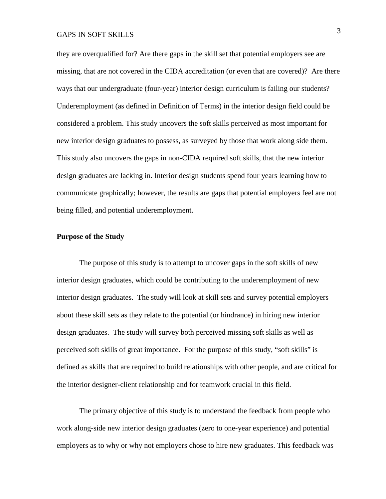they are overqualified for? Are there gaps in the skill set that potential employers see are missing, that are not covered in the CIDA accreditation (or even that are covered)? Are there ways that our undergraduate (four-year) interior design curriculum is failing our students? Underemployment (as defined in Definition of Terms) in the interior design field could be considered a problem. This study uncovers the soft skills perceived as most important for new interior design graduates to possess, as surveyed by those that work along side them. This study also uncovers the gaps in non-CIDA required soft skills, that the new interior design graduates are lacking in. Interior design students spend four years learning how to communicate graphically; however, the results are gaps that potential employers feel are not being filled, and potential underemployment.

#### **Purpose of the Study**

The purpose of this study is to attempt to uncover gaps in the soft skills of new interior design graduates, which could be contributing to the underemployment of new interior design graduates. The study will look at skill sets and survey potential employers about these skill sets as they relate to the potential (or hindrance) in hiring new interior design graduates. The study will survey both perceived missing soft skills as well as perceived soft skills of great importance. For the purpose of this study, "soft skills" is defined as skills that are required to build relationships with other people, and are critical for the interior designer-client relationship and for teamwork crucial in this field.

The primary objective of this study is to understand the feedback from people who work along-side new interior design graduates (zero to one-year experience) and potential employers as to why or why not employers chose to hire new graduates. This feedback was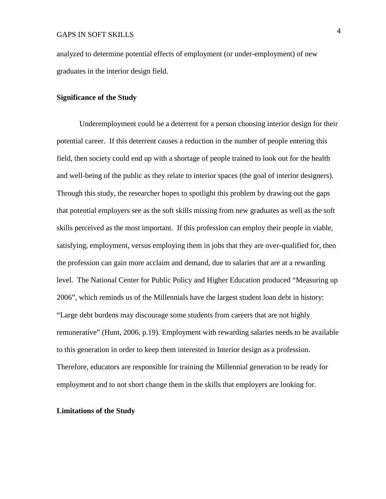analyzed to determine potential effects of employment (or under-employment) of new graduates in the interior design field.

#### **Significance of the Study**

Underemployment could be a deterrent for a person choosing interior design for their potential career. If this deterrent causes a reduction in the number of people entering this field, then society could end up with a shortage of people trained to look out for the health and well-being of the public as they relate to interior spaces (the goal of interior designers). Through this study, the researcher hopes to spotlight this problem by drawing out the gaps that potential employers see as the soft skills missing from new graduates as well as the soft skills perceived as the most important. If this profession can employ their people in viable, satisfying, employment, versus employing them in jobs that they are over-qualified for, then the profession can gain more acclaim and demand, due to salaries that are at a rewarding level. The National Center for Public Policy and Higher Education produced "Measuring up 2006", which reminds us of the Millennials have the largest student loan debt in history: "Large debt burdens may discourage some students from careers that are not highly remunerative" (Hunt, 2006, p.19). Employment with rewarding salaries needs to be available to this generation in order to keep them interested in Interior design as a profession. Therefore, educators are responsible for training the Millennial generation to be ready for employment and to not short change them in the skills that employers are looking for.

#### **Limitations of the Study**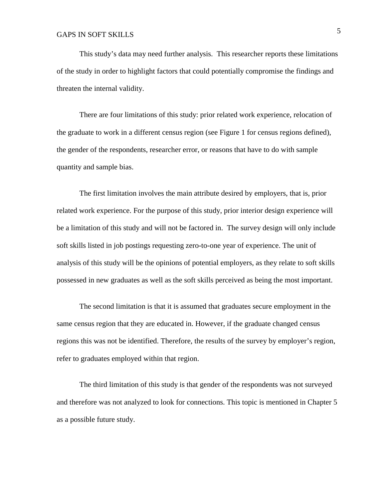This study's data may need further analysis. This researcher reports these limitations of the study in order to highlight factors that could potentially compromise the findings and threaten the internal validity.

There are four limitations of this study: prior related work experience, relocation of the graduate to work in a different census region (see Figure 1 for census regions defined), the gender of the respondents, researcher error, or reasons that have to do with sample quantity and sample bias.

The first limitation involves the main attribute desired by employers, that is, prior related work experience. For the purpose of this study, prior interior design experience will be a limitation of this study and will not be factored in. The survey design will only include soft skills listed in job postings requesting zero-to-one year of experience. The unit of analysis of this study will be the opinions of potential employers, as they relate to soft skills possessed in new graduates as well as the soft skills perceived as being the most important.

The second limitation is that it is assumed that graduates secure employment in the same census region that they are educated in. However, if the graduate changed census regions this was not be identified. Therefore, the results of the survey by employer's region, refer to graduates employed within that region.

The third limitation of this study is that gender of the respondents was not surveyed and therefore was not analyzed to look for connections. This topic is mentioned in Chapter 5 as a possible future study.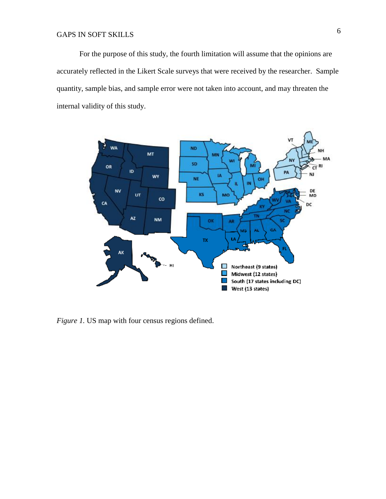For the purpose of this study, the fourth limitation will assume that the opinions are accurately reflected in the Likert Scale surveys that were received by the researcher. Sample quantity, sample bias, and sample error were not taken into account, and may threaten the internal validity of this study.



*Figure 1.* US map with four census regions defined.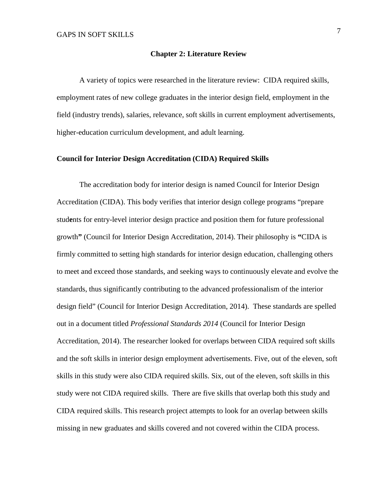#### **Chapter 2: Literature Review**

A variety of topics were researched in the literature review: CIDA required skills, employment rates of new college graduates in the interior design field, employment in the field (industry trends), salaries, relevance, soft skills in current employment advertisements, higher-education curriculum development, and adult learning.

#### **Council for Interior Design Accreditation (CIDA) Required Skills**

The accreditation body for interior design is named Council for Interior Design Accreditation (CIDA). This body verifies that interior design college programs "prepare stud**e**nts for entry-level interior design practice and position them for future professional growth**"** (Council for Interior Design Accreditation, 2014). Their philosophy is **"**CIDA is firmly committed to setting high standards for interior design education, challenging others to meet and exceed those standards, and seeking ways to continuously elevate and evolve the standards, thus significantly contributing to the advanced professionalism of the interior design field" (Council for Interior Design Accreditation, 2014). These standards are spelled out in a document titled *Professional Standards 2014* (Council for Interior Design Accreditation, 2014). The researcher looked for overlaps between CIDA required soft skills and the soft skills in interior design employment advertisements. Five, out of the eleven, soft skills in this study were also CIDA required skills. Six, out of the eleven, soft skills in this study were not CIDA required skills. There are five skills that overlap both this study and CIDA required skills. This research project attempts to look for an overlap between skills missing in new graduates and skills covered and not covered within the CIDA process.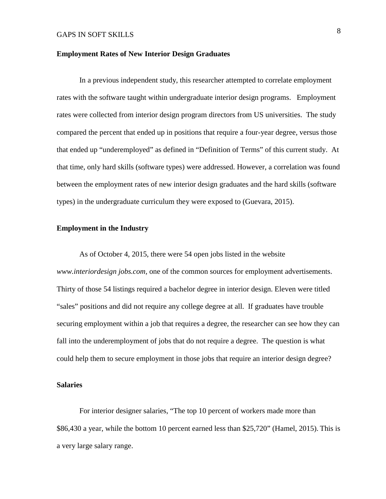#### **Employment Rates of New Interior Design Graduates**

In a previous independent study, this researcher attempted to correlate employment rates with the software taught within undergraduate interior design programs. Employment rates were collected from interior design program directors from US universities. The study compared the percent that ended up in positions that require a four-year degree, versus those that ended up "underemployed" as defined in "Definition of Terms" of this current study. At that time, only hard skills (software types) were addressed. However, a correlation was found between the employment rates of new interior design graduates and the hard skills (software types) in the undergraduate curriculum they were exposed to (Guevara, 2015).

#### **Employment in the Industry**

As of October 4, 2015, there were 54 open jobs listed in the website *www.interiordesign jobs.com,* one of the common sources for employment advertisements. Thirty of those 54 listings required a bachelor degree in interior design. Eleven were titled "sales" positions and did not require any college degree at all. If graduates have trouble securing employment within a job that requires a degree, the researcher can see how they can fall into the underemployment of jobs that do not require a degree. The question is what could help them to secure employment in those jobs that require an interior design degree?

#### **Salaries**

For interior designer salaries, "The top 10 percent of workers made more than \$86,430 a year, while the bottom 10 percent earned less than \$25,720" (Hamel, 2015). This is a very large salary range.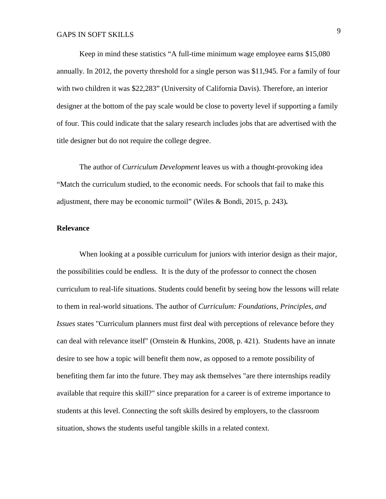Keep in mind these statistics "A full-time minimum wage employee earns \$15,080 annually. In 2012, the poverty threshold for a single person was \$11,945. For a family of four with two children it was \$22,283" (University of California Davis). Therefore, an interior designer at the bottom of the pay scale would be close to poverty level if supporting a family of four. This could indicate that the salary research includes jobs that are advertised with the title designer but do not require the college degree.

The author of *Curriculum Development* leaves us with a thought-provoking idea "Match the curriculum studied, to the economic needs. For schools that fail to make this adjustment, there may be economic turmoil" (Wiles & Bondi, 2015, p. 243)**.**

#### **Relevance**

When looking at a possible curriculum for juniors with interior design as their major, the possibilities could be endless. It is the duty of the professor to connect the chosen curriculum to real-life situations. Students could benefit by seeing how the lessons will relate to them in real-world situations. The author of *Curriculum: Foundations, Principles, and Issues* states "Curriculum planners must first deal with perceptions of relevance before they can deal with relevance itself" (Ornstein & Hunkins, 2008, p. 421).Students have an innate desire to see how a topic will benefit them now, as opposed to a remote possibility of benefiting them far into the future. They may ask themselves "are there internships readily available that require this skill?" since preparation for a career is of extreme importance to students at this level. Connecting the soft skills desired by employers, to the classroom situation, shows the students useful tangible skills in a related context.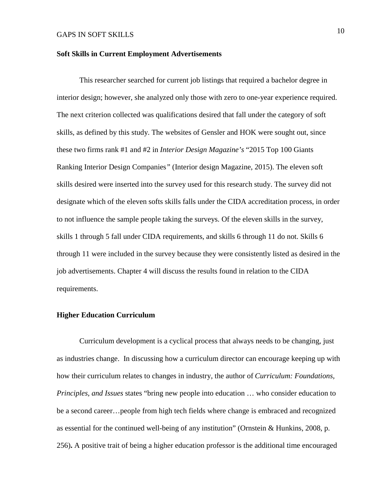#### **Soft Skills in Current Employment Advertisements**

This researcher searched for current job listings that required a bachelor degree in interior design; however, she analyzed only those with zero to one-year experience required. The next criterion collected was qualifications desired that fall under the category of soft skills, as defined by this study. The websites of Gensler and HOK were sought out, since these two firms rank #1 and #2 in *Interior Design Magazine's* "2015 Top 100 Giants Ranking Interior Design Companies*"* (Interior design Magazine, 2015). The eleven soft skills desired were inserted into the survey used for this research study. The survey did not designate which of the eleven softs skills falls under the CIDA accreditation process, in order to not influence the sample people taking the surveys. Of the eleven skills in the survey, skills 1 through 5 fall under CIDA requirements, and skills 6 through 11 do not. Skills 6 through 11 were included in the survey because they were consistently listed as desired in the job advertisements. Chapter 4 will discuss the results found in relation to the CIDA requirements.

#### **Higher Education Curriculum**

Curriculum development is a cyclical process that always needs to be changing, just as industries change. In discussing how a curriculum director can encourage keeping up with how their curriculum relates to changes in industry, the author of *Curriculum: Foundations, Principles, and Issues* states "bring new people into education … who consider education to be a second career…people from high tech fields where change is embraced and recognized as essential for the continued well-being of any institution" (Ornstein & Hunkins, 2008, p. 256)**.** A positive trait of being a higher education professor is the additional time encouraged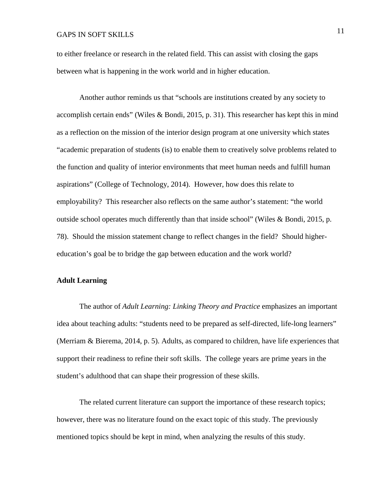to either freelance or research in the related field. This can assist with closing the gaps between what is happening in the work world and in higher education.

Another author reminds us that "schools are institutions created by any society to accomplish certain ends" (Wiles & Bondi, 2015, p. 31). This researcher has kept this in mind as a reflection on the mission of the interior design program at one university which states "academic preparation of students (is) to enable them to creatively solve problems related to the function and quality of interior environments that meet human needs and fulfill human aspirations" (College of Technology, 2014). However, how does this relate to employability? This researcher also reflects on the same author's statement: "the world outside school operates much differently than that inside school" (Wiles & Bondi, 2015, p. 78).Should the mission statement change to reflect changes in the field? Should highereducation's goal be to bridge the gap between education and the work world?

#### **Adult Learning**

The author of *Adult Learning: Linking Theory and Practice* emphasizes an important idea about teaching adults: "students need to be prepared as self-directed, life-long learners" (Merriam & Bierema, 2014, p. 5). Adults, as compared to children, have life experiences that support their readiness to refine their soft skills. The college years are prime years in the student's adulthood that can shape their progression of these skills.

The related current literature can support the importance of these research topics; however, there was no literature found on the exact topic of this study. The previously mentioned topics should be kept in mind, when analyzing the results of this study.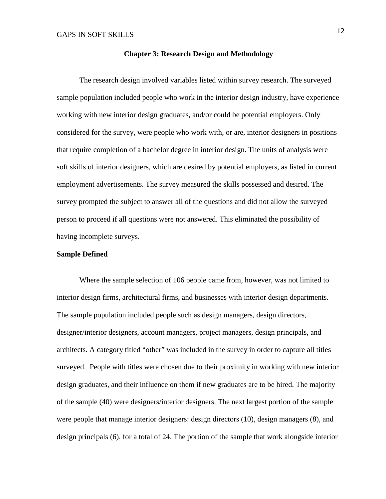#### **Chapter 3: Research Design and Methodology**

The research design involved variables listed within survey research. The surveyed sample population included people who work in the interior design industry, have experience working with new interior design graduates, and/or could be potential employers. Only considered for the survey, were people who work with, or are, interior designers in positions that require completion of a bachelor degree in interior design. The units of analysis were soft skills of interior designers, which are desired by potential employers, as listed in current employment advertisements. The survey measured the skills possessed and desired. The survey prompted the subject to answer all of the questions and did not allow the surveyed person to proceed if all questions were not answered. This eliminated the possibility of having incomplete surveys.

#### **Sample Defined**

Where the sample selection of 106 people came from, however, was not limited to interior design firms, architectural firms, and businesses with interior design departments. The sample population included people such as design managers, design directors, designer/interior designers, account managers, project managers, design principals, and architects. A category titled "other" was included in the survey in order to capture all titles surveyed. People with titles were chosen due to their proximity in working with new interior design graduates, and their influence on them if new graduates are to be hired. The majority of the sample (40) were designers/interior designers. The next largest portion of the sample were people that manage interior designers: design directors (10), design managers (8), and design principals (6), for a total of 24. The portion of the sample that work alongside interior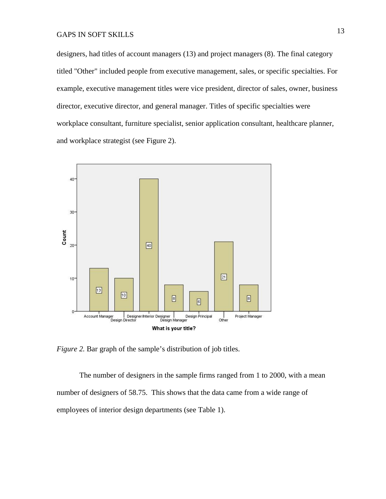designers, had titles of account managers (13) and project managers (8). The final category titled "Other" included people from executive management, sales, or specific specialties. For example, executive management titles were vice president, director of sales, owner, business director, executive director, and general manager. Titles of specific specialties were workplace consultant, furniture specialist, senior application consultant, healthcare planner, and workplace strategist (see Figure 2).



*Figure 2.* Bar graph of the sample's distribution of job titles.

The number of designers in the sample firms ranged from 1 to 2000, with a mean number of designers of 58.75. This shows that the data came from a wide range of employees of interior design departments (see Table 1).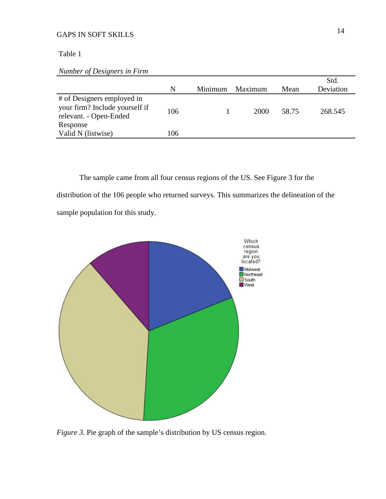Table 1

*Number of Designers in Firm* 

|                                                          |     |         |         |       | Std.      |
|----------------------------------------------------------|-----|---------|---------|-------|-----------|
|                                                          | N   | Minimum | Maximum | Mean  | Deviation |
| # of Designers employed in                               |     |         |         |       |           |
| your firm? Include yourself if<br>relevant. - Open-Ended | 106 |         | 2000    | 58.75 | 268.545   |
| Response                                                 |     |         |         |       |           |
| Valid N (listwise)                                       | 106 |         |         |       |           |
|                                                          |     |         |         |       |           |

The sample came from all four census regions of the US. See Figure 3 for the distribution of the 106 people who returned surveys. This summarizes the delineation of the sample population for this study.



*Figure 3.* Pie graph of the sample's distribution by US census region.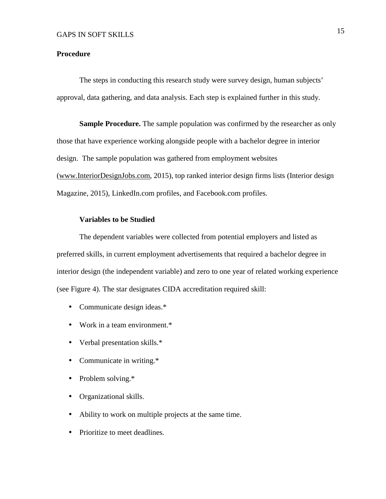#### **Procedure**

The steps in conducting this research study were survey design, human subjects' approval, data gathering, and data analysis. Each step is explained further in this study.

**Sample Procedure.** The sample population was confirmed by the researcher as only those that have experience working alongside people with a bachelor degree in interior design. The sample population was gathered from employment websites ([www.InteriorDesignJobs.com,](http://www.InteriorDesignJobs.com) 2015), top ranked interior design firms lists (Interior design Magazine, 2015), LinkedIn.com profiles, and Facebook.com profiles.

#### **Variables to be Studied**

The dependent variables were collected from potential employers and listed as preferred skills, in current employment advertisements that required a bachelor degree in interior design (the independent variable) and zero to one year of related working experience (see Figure 4). The star designates CIDA accreditation required skill:

- Communicate design ideas.\*
- Work in a team environment.\*
- Verbal presentation skills.\*
- Communicate in writing.\*
- Problem solving.\*
- Organizational skills.
- Ability to work on multiple projects at the same time.
- Prioritize to meet deadlines.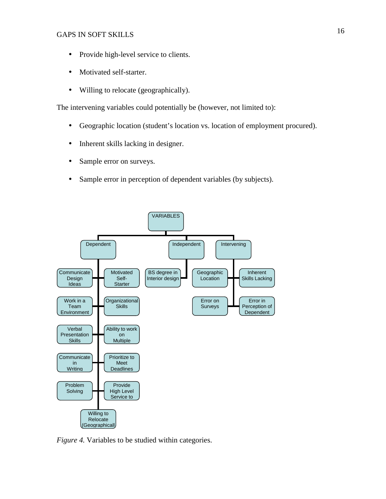- Provide high-level service to clients.
- Motivated self-starter.
- Willing to relocate (geographically).

The intervening variables could potentially be (however, not limited to):

- Geographic location (student's location vs. location of employment procured).
- Inherent skills lacking in designer.
- Sample error on surveys.
- Sample error in perception of dependent variables (by subjects).



*Figure 4.* Variables to be studied within categories.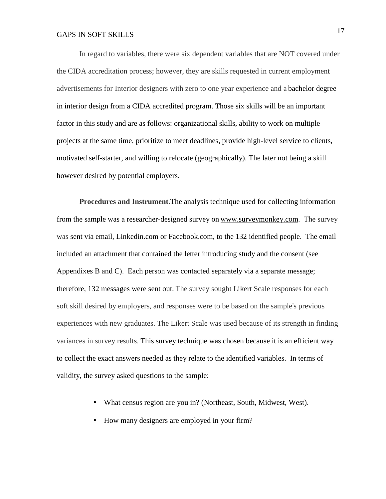In regard to variables, there were six dependent variables that are NOT covered under the CIDA accreditation process; however, they are skills requested in current employment advertisements for Interior designers with zero to one year experience and a bachelor degree in interior design from a CIDA accredited program. Those six skills will be an important factor in this study and are as follows: organizational skills, ability to work on multiple projects at the same time, prioritize to meet deadlines, provide high-level service to clients, motivated self-starter, and willing to relocate (geographically). The later not being a skill however desired by potential employers.

**Procedures and Instrument.**The analysis technique used for collecting information from the sample was a researcher-designed survey on [www.surveymonkey.com](http://www.surveymonkey.com). The survey was sent via email, Linkedin.com or Facebook.com, to the 132 identified people. The email included an attachment that contained the letter introducing study and the consent (see Appendixes B and C). Each person was contacted separately via a separate message; therefore, 132 messages were sent out. The survey sought Likert Scale responses for each soft skill desired by employers, and responses were to be based on the sample's previous experiences with new graduates. The Likert Scale was used because of its strength in finding variances in survey results. This survey technique was chosen because it is an efficient way to collect the exact answers needed as they relate to the identified variables. In terms of validity, the survey asked questions to the sample:

- What census region are you in? (Northeast, South, Midwest, West).
- How many designers are employed in your firm?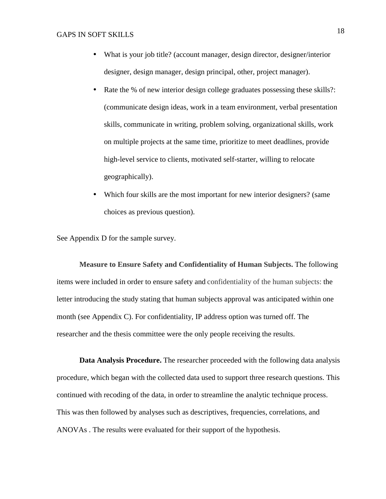- What is your job title? (account manager, design director, designer/interior designer, design manager, design principal, other, project manager).
- Rate the % of new interior design college graduates possessing these skills?: (communicate design ideas, work in a team environment, verbal presentation skills, communicate in writing, problem solving, organizational skills, work on multiple projects at the same time, prioritize to meet deadlines, provide high-level service to clients, motivated self-starter, willing to relocate geographically).
- Which four skills are the most important for new interior designers? (same choices as previous question).

See Appendix D for the sample survey.

**Measure to Ensure Safety and Confidentiality of Human Subjects.** The following items were included in order to ensure safety and confidentiality of the human subjects: the letter introducing the study stating that human subjects approval was anticipated within one month (see Appendix C). For confidentiality, IP address option was turned off. The researcher and the thesis committee were the only people receiving the results.

**Data Analysis Procedure.** The researcher proceeded with the following data analysis procedure, which began with the collected data used to support three research questions. This continued with recoding of the data, in order to streamline the analytic technique process. This was then followed by analyses such as descriptives, frequencies, correlations, and ANOVAs . The results were evaluated for their support of the hypothesis.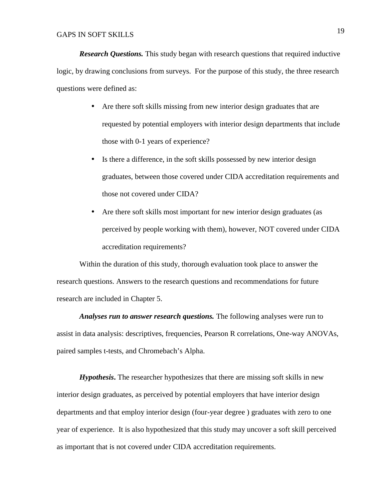*Research Questions.* This study began with research questions that required inductive logic, by drawing conclusions from surveys. For the purpose of this study, the three research questions were defined as:

- Are there soft skills missing from new interior design graduates that are requested by potential employers with interior design departments that include those with 0-1 years of experience?
- Is there a difference, in the soft skills possessed by new interior design graduates, between those covered under CIDA accreditation requirements and those not covered under CIDA?
- Are there soft skills most important for new interior design graduates (as perceived by people working with them), however, NOT covered under CIDA accreditation requirements?

Within the duration of this study, thorough evaluation took place to answer the research questions. Answers to the research questions and recommendations for future research are included in Chapter 5.

*Analyses run to answer research questions.* The following analyses were run to assist in data analysis: descriptives, frequencies, Pearson R correlations, One-way ANOVAs, paired samples t-tests, and Chromebach's Alpha.

*Hypothesis***.** The researcher hypothesizes that there are missing soft skills in new interior design graduates, as perceived by potential employers that have interior design departments and that employ interior design (four-year degree ) graduates with zero to one year of experience. It is also hypothesized that this study may uncover a soft skill perceived as important that is not covered under CIDA accreditation requirements.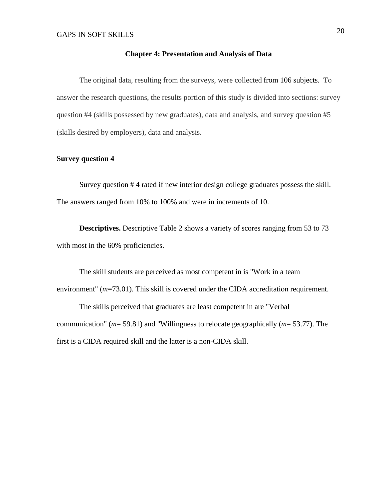#### **Chapter 4: Presentation and Analysis of Data**

The original data, resulting from the surveys, were collected from 106 subjects. To answer the research questions, the results portion of this study is divided into sections: survey question #4 (skills possessed by new graduates), data and analysis, and survey question #5 (skills desired by employers), data and analysis.

#### **Survey question 4**

Survey question # 4 rated if new interior design college graduates possess the skill. The answers ranged from 10% to 100% and were in increments of 10.

**Descriptives.** Descriptive Table 2 shows a variety of scores ranging from 53 to 73 with most in the 60% proficiencies.

The skill students are perceived as most competent in is "Work in a team environment" (*m*=73.01). This skill is covered under the CIDA accreditation requirement.

The skills perceived that graduates are least competent in are "Verbal communication" (*m*= 59.81) and "Willingness to relocate geographically (*m*= 53.77). The first is a CIDA required skill and the latter is a non-CIDA skill.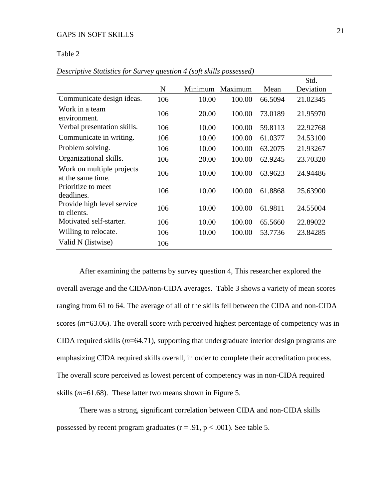#### Table 2

|                                                |     |         |         |         | OW.       |
|------------------------------------------------|-----|---------|---------|---------|-----------|
|                                                | N   | Minimum | Maximum | Mean    | Deviation |
| Communicate design ideas.                      | 106 | 10.00   | 100.00  | 66.5094 | 21.02345  |
| Work in a team<br>environment.                 | 106 | 20.00   | 100.00  | 73.0189 | 21.95970  |
| Verbal presentation skills.                    | 106 | 10.00   | 100.00  | 59.8113 | 22.92768  |
| Communicate in writing.                        | 106 | 10.00   | 100.00  | 61.0377 | 24.53100  |
| Problem solving.                               | 106 | 10.00   | 100.00  | 63.2075 | 21.93267  |
| Organizational skills.                         | 106 | 20.00   | 100.00  | 62.9245 | 23.70320  |
| Work on multiple projects<br>at the same time. | 106 | 10.00   | 100.00  | 63.9623 | 24.94486  |
| Prioritize to meet<br>deadlines.               | 106 | 10.00   | 100.00  | 61.8868 | 25.63900  |
| Provide high level service<br>to clients.      | 106 | 10.00   | 100.00  | 61.9811 | 24.55004  |
| Motivated self-starter.                        | 106 | 10.00   | 100.00  | 65.5660 | 22.89022  |
| Willing to relocate.                           | 106 | 10.00   | 100.00  | 53.7736 | 23.84285  |
| Valid N (listwise)                             | 106 |         |         |         |           |

*Descriptive Statistics for Survey question 4 (soft skills possessed)* 

After examining the patterns by survey question 4, This researcher explored the overall average and the CIDA/non-CIDA averages. Table 3 shows a variety of mean scores ranging from 61 to 64. The average of all of the skills fell between the CIDA and non-CIDA scores (*m*=63.06). The overall score with perceived highest percentage of competency was in CIDA required skills (*m*=64.71), supporting that undergraduate interior design programs are emphasizing CIDA required skills overall, in order to complete their accreditation process. The overall score perceived as lowest percent of competency was in non-CIDA required skills (*m*=61.68). These latter two means shown in Figure 5.

There was a strong, significant correlation between CIDA and non-CIDA skills possessed by recent program graduates ( $r = .91$ ,  $p < .001$ ). See table 5.

 $\overline{C}$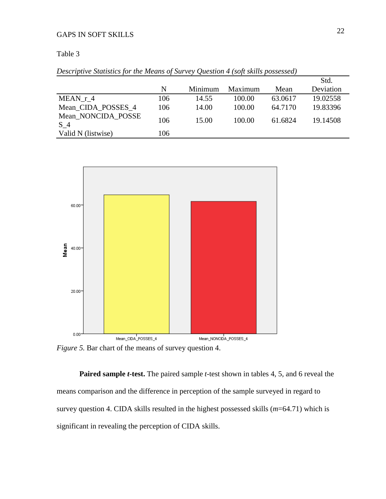#### Table 3

|  | Descriptive Statistics for the Means of Survey Question 4 (soft skills possessed) |  |  |  |  |  |
|--|-----------------------------------------------------------------------------------|--|--|--|--|--|
|--|-----------------------------------------------------------------------------------|--|--|--|--|--|

|                                      |     |         |         |         | Std.      |
|--------------------------------------|-----|---------|---------|---------|-----------|
|                                      | N   | Minimum | Maximum | Mean    | Deviation |
| MEAN r 4                             | 106 | 14.55   | 100.00  | 63.0617 | 19.02558  |
| Mean CIDA POSSES 4                   | 106 | 14.00   | 100.00  | 64.7170 | 19.83396  |
| Mean NONCIDA POSSE<br>S <sub>4</sub> | 106 | 15.00   | 100.00  | 61.6824 | 19.14508  |
| Valid N (listwise)                   | 106 |         |         |         |           |
|                                      |     |         |         |         |           |



*Figure 5.* Bar chart of the means of survey question 4.

**Paired sample** *t***-test.** The paired sample *t*-test shown in tables 4, 5, and 6 reveal the means comparison and the difference in perception of the sample surveyed in regard to survey question 4. CIDA skills resulted in the highest possessed skills (*m*=64.71) which is significant in revealing the perception of CIDA skills.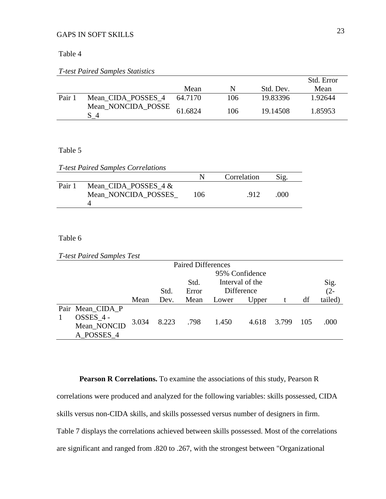#### Table 4

#### *T-test Paired Samples Statistics*

|        |                           |         |     |           | Std. Error |
|--------|---------------------------|---------|-----|-----------|------------|
|        |                           | Mean    | N   | Std. Dev. | Mean       |
| Pair 1 | Mean CIDA POSSES 4        | 64.7170 | 106 | 19.83396  | 1.92644    |
|        | Mean_NONCIDA_POSSE<br>S 4 | 61.6824 | 106 | 19.14508  | 1.85953    |

#### Table 5

*T-test Paired Samples Correlations* 

|        |                                               |     | Correlation | Sig. |  |
|--------|-----------------------------------------------|-----|-------------|------|--|
| Pair 1 | Mean CIDA POSSES $4 &$<br>Mean NONCIDA POSSES | 106 | .912.       | 000  |  |

#### Table 6

|  | <b>T-test Paired Samples Test</b> |
|--|-----------------------------------|

| <b>Paired Differences</b>                                      |         |
|----------------------------------------------------------------|---------|
| 95% Confidence                                                 |         |
| Interval of the<br>Std.                                        | Sig.    |
| Difference<br>Error<br>Std.                                    | $(2 -$  |
| Mean<br>df<br>Dev.<br>Mean<br>Lower<br>Upper                   | tailed) |
| Pair Mean CIDA P                                               |         |
| $OSSES_4 -$<br>3.034<br>8.223<br>.798<br>1.450<br>3.799<br>105 |         |
| 4.618<br>Mean_NONCID                                           | .000    |
| A_POSSES_4                                                     |         |

**Pearson R Correlations.** To examine the associations of this study, Pearson R correlations were produced and analyzed for the following variables: skills possessed, CIDA skills versus non-CIDA skills, and skills possessed versus number of designers in firm. Table 7 displays the correlations achieved between skills possessed. Most of the correlations are significant and ranged from .820 to .267, with the strongest between "Organizational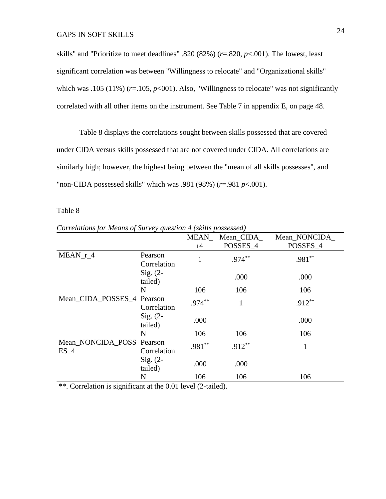skills" and "Prioritize to meet deadlines" .820 (82%) (*r*=.820, *p*<.001). The lowest, least significant correlation was between "Willingness to relocate" and "Organizational skills" which was .105 (11%)  $(r=105, p<001)$ . Also, "Willingness to relocate" was not significantly correlated with all other items on the instrument. See Table 7 in appendix E, on page 48.

Table 8 displays the correlations sought between skills possessed that are covered under CIDA versus skills possessed that are not covered under CIDA. All correlations are similarly high; however, the highest being between the "mean of all skills possesses", and "non-CIDA possessed skills" which was .981 (98%) (*r*=.981 *p*<.001).

#### Table 8

*Correlations for Means of Survey question 4 (skills possessed)* 

|                                     |                        | MEAN      | Mean_CIDA_ | Mean_NONCIDA_ |
|-------------------------------------|------------------------|-----------|------------|---------------|
|                                     |                        | r4        | POSSES_4   | POSSES_4      |
| $MEAN_r_4$                          | Pearson<br>Correlation |           | $.974***$  | $.981**$      |
|                                     | Sig. $(2-$<br>tailed)  |           | .000       | .000          |
|                                     | N                      | 106       | 106        | 106           |
| Mean_CIDA_POSSES_4 Pearson          | Correlation            | $.974***$ | 1          | $.912***$     |
|                                     | $Sig. (2-$<br>tailed)  | .000      |            | .000          |
|                                     | N                      | 106       | 106        | 106           |
| Mean NONCIDA POSS Pearson<br>$ES_4$ | Correlation            | $.981**$  | $.912***$  | 1             |
|                                     | $Sig. (2-$<br>tailed)  | .000      | .000       |               |
|                                     | N                      | 106       | 106        | 106           |

\*\*. Correlation is significant at the 0.01 level (2-tailed).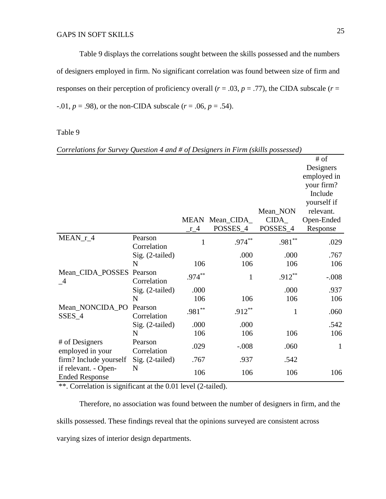Table 9 displays the correlations sought between the skills possessed and the numbers of designers employed in firm. No significant correlation was found between size of firm and responses on their perception of proficiency overall ( $r = .03$ ,  $p = .77$ ), the CIDA subscale ( $r =$  $-0.01, p = .98$ ), or the non-CIDA subscale ( $r = .06, p = .54$ ).

Table 9

|                          |                 |           |                |              | # of         |
|--------------------------|-----------------|-----------|----------------|--------------|--------------|
|                          |                 |           |                |              | Designers    |
|                          |                 |           |                |              | employed in  |
|                          |                 |           |                |              | your firm?   |
|                          |                 |           |                |              | Include      |
|                          |                 |           |                |              | yourself if  |
|                          |                 |           |                | Mean_NON     | relevant.    |
|                          |                 |           | MEAN Mean_CIDA | CIDA         | Open-Ended   |
|                          |                 | $r_{-}4$  | POSSES_4       | POSSES_4     | Response     |
| $MEAN_r_4$               | Pearson         |           | $.974***$      | $.981**$     |              |
|                          | Correlation     | 1         |                |              | .029         |
|                          | Sig. (2-tailed) |           | .000           | .000         | .767         |
|                          | N               | 106       | 106            | 106          | 106          |
| Mean_CIDA_POSSES Pearson |                 | $.974***$ | $\mathbf{1}$   | $.912***$    | $-.008$      |
| $\mathcal{A}$            | Correlation     |           |                |              |              |
|                          | Sig. (2-tailed) | .000      |                | .000         | .937         |
|                          | N               | 106       | 106            | 106          | 106          |
| Mean_NONCIDA_PO          | Pearson         | $.981**$  | $.912***$      | $\mathbf{1}$ | .060         |
| SSES_4                   | Correlation     |           |                |              |              |
|                          | Sig. (2-tailed) | .000      | .000           |              | .542         |
|                          | N               | 106       | 106            | 106          | 106          |
| # of Designers           | Pearson         | .029      | $-.008$        | .060         | $\mathbf{1}$ |
| employed in your         | Correlation     |           |                |              |              |
| firm? Include yourself   | Sig. (2-tailed) | .767      | .937           | .542         |              |
| if relevant. - Open-     | N               | 106       | 106            | 106          | 106          |
| <b>Ended Response</b>    |                 |           |                |              |              |

*Correlations for Survey Question 4 and # of Designers in Firm (skills possessed)* 

\*\*. Correlation is significant at the 0.01 level (2-tailed).

Therefore, no association was found between the number of designers in firm, and the skills possessed. These findings reveal that the opinions surveyed are consistent across varying sizes of interior design departments.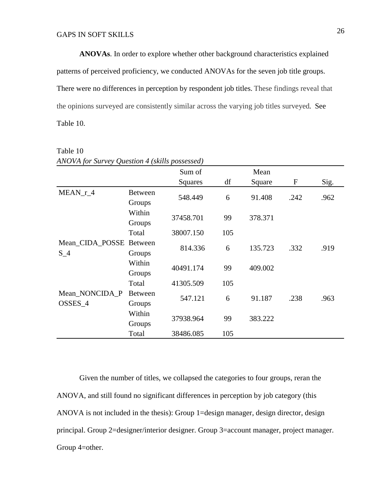**ANOVAs**. In order to explore whether other background characteristics explained patterns of perceived proficiency, we conducted ANOVAs for the seven job title groups. There were no differences in perception by respondent job titles. These findings reveal that the opinions surveyed are consistently similar across the varying job titles surveyed. See Table 10.

| AINOVA for Survey Question 4 (Skills possessed) |                          | Sum of    |     | Mean    |              |      |
|-------------------------------------------------|--------------------------|-----------|-----|---------|--------------|------|
|                                                 |                          | Squares   | df  | Square  | $\mathbf{F}$ | Sig. |
| $MEAN_r_4$                                      | <b>Between</b><br>Groups | 548.449   | 6   | 91.408  | .242         | .962 |
|                                                 | Within<br>Groups         | 37458.701 | 99  | 378.371 |              |      |
|                                                 | Total                    | 38007.150 | 105 |         |              |      |
| Mean_CIDA_POSSE Between<br>$S_4$                | Groups                   | 814.336   | 6   | 135.723 | .332         | .919 |
|                                                 | Within<br>Groups         | 40491.174 | 99  | 409.002 |              |      |
|                                                 | Total                    | 41305.509 | 105 |         |              |      |
| Mean_NONCIDA_P<br>OSSES_4                       | <b>Between</b><br>Groups | 547.121   | 6   | 91.187  | .238         | .963 |
|                                                 | Within<br>Groups         | 37938.964 | 99  | 383.222 |              |      |
|                                                 | Total                    | 38486.085 | 105 |         |              |      |

Table 10 *ANOVA for Survey Question 4 (skills possessed)* 

Given the number of titles, we collapsed the categories to four groups, reran the ANOVA, and still found no significant differences in perception by job category (this ANOVA is not included in the thesis): Group 1=design manager, design director, design principal. Group 2=designer/interior designer. Group 3=account manager, project manager. Group 4=other.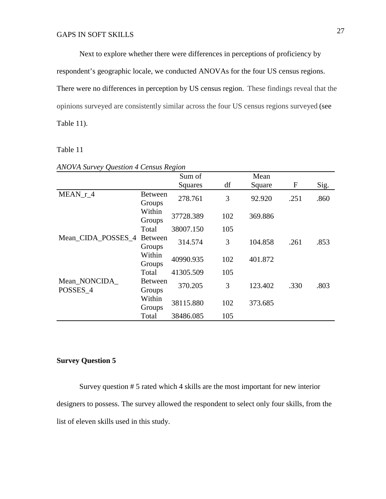Next to explore whether there were differences in perceptions of proficiency by respondent's geographic locale, we conducted ANOVAs for the four US census regions. There were no differences in perception by US census region. These findings reveal that the opinions surveyed are consistently similar across the four US census regions surveyed (see Table 11).

Table 11

|                          |                          | Sum of    |     | Mean    |             |      |
|--------------------------|--------------------------|-----------|-----|---------|-------------|------|
|                          |                          | Squares   | df  | Square  | $\mathbf F$ | Sig. |
| MEAN r 4                 | Between<br>Groups        | 278.761   | 3   | 92.920  | .251        | .860 |
|                          | Within<br>Groups         | 37728.389 | 102 | 369.886 |             |      |
|                          | Total                    | 38007.150 | 105 |         |             |      |
| Mean_CIDA_POSSES_4       | <b>Between</b><br>Groups | 314.574   | 3   | 104.858 | .261        | .853 |
|                          | Within<br>Groups         | 40990.935 | 102 | 401.872 |             |      |
|                          | Total                    | 41305.509 | 105 |         |             |      |
| Mean NONCIDA<br>POSSES 4 | <b>Between</b><br>Groups | 370.205   | 3   | 123.402 | .330        | .803 |
|                          | Within<br>Groups         | 38115.880 | 102 | 373.685 |             |      |
|                          | Total                    | 38486.085 | 105 |         |             |      |

*ANOVA Survey Question 4 Census Region* 

#### **Survey Question 5**

Survey question # 5 rated which 4 skills are the most important for new interior designers to possess. The survey allowed the respondent to select only four skills, from the list of eleven skills used in this study.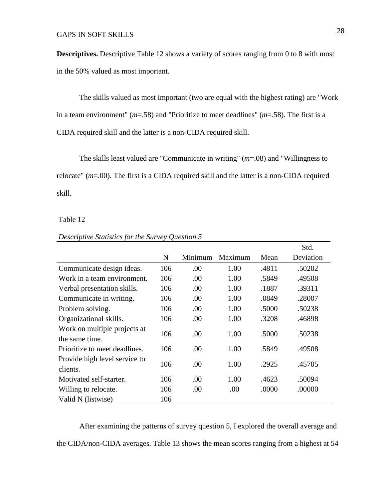**Descriptives.** Descriptive Table 12 shows a variety of scores ranging from 0 to 8 with most in the 50% valued as most important.

The skills valued as most important (two are equal with the highest rating) are "Work in a team environment" (*m*=.58) and "Prioritize to meet deadlines" (*m*=.58). The first is a CIDA required skill and the latter is a non-CIDA required skill.

The skills least valued are "Communicate in writing" (*m*=.08) and "Willingness to relocate" (*m*=.00). The first is a CIDA required skill and the latter is a non-CIDA required skill.

#### Table 12

|                                                |     |         |         |       | Std.      |
|------------------------------------------------|-----|---------|---------|-------|-----------|
|                                                | N   | Minimum | Maximum | Mean  | Deviation |
| Communicate design ideas.                      | 106 | .00     | 1.00    | .4811 | .50202    |
| Work in a team environment.                    | 106 | .00     | 1.00    | .5849 | .49508    |
| Verbal presentation skills.                    | 106 | .00     | 1.00    | .1887 | .39311    |
| Communicate in writing.                        | 106 | .00     | 1.00    | .0849 | .28007    |
| Problem solving.                               | 106 | .00.    | 1.00    | .5000 | .50238    |
| Organizational skills.                         | 106 | .00     | 1.00    | .3208 | .46898    |
| Work on multiple projects at<br>the same time. | 106 | .00     | 1.00    | .5000 | .50238    |
| Prioritize to meet deadlines.                  | 106 | .00     | 1.00    | .5849 | .49508    |
| Provide high level service to<br>clients.      | 106 | .00     | 1.00    | .2925 | .45705    |
| Motivated self-starter.                        | 106 | .00     | 1.00    | .4623 | .50094    |
| Willing to relocate.                           | 106 | .00     | .00     | .0000 | .00000    |
| Valid N (listwise)                             | 106 |         |         |       |           |

#### *Descriptive Statistics for the Survey Question 5*

After examining the patterns of survey question 5, I explored the overall average and the CIDA/non-CIDA averages. Table 13 shows the mean scores ranging from a highest at 54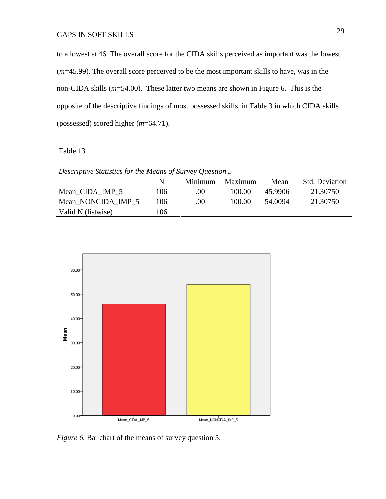to a lowest at 46. The overall score for the CIDA skills perceived as important was the lowest (*m*=45.99). The overall score perceived to be the most important skills to have, was in the non-CIDA skills (*m*=54.00). These latter two means are shown in Figure 6. This is the opposite of the descriptive findings of most possessed skills, in Table 3 in which CIDA skills (possessed) scored higher (*m*=64.71).

Table 13

| Descriptive Statistics for the Means of Survey Question 5 |     |         |         |         |                       |  |  |
|-----------------------------------------------------------|-----|---------|---------|---------|-----------------------|--|--|
|                                                           | N   | Minimum | Maximum | Mean    | <b>Std. Deviation</b> |  |  |
| Mean CIDA IMP 5                                           | 106 | .00     | 100.00  | 45.9906 | 21.30750              |  |  |
| Mean NONCIDA IMP 5                                        | 106 | .00     | 100.00  | 54.0094 | 21.30750              |  |  |
| Valid N (listwise)                                        | 106 |         |         |         |                       |  |  |



*Figure 6.* Bar chart of the means of survey question 5.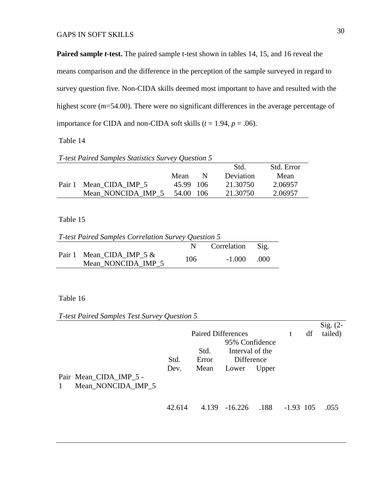Paired sample *t*-test. The paired sample *t*-test shown in tables 14, 15, and 16 reveal the means comparison and the difference in the perception of the sample surveyed in regard to survey question five. Non-CIDA skills deemed most important to have and resulted with the highest score ( $m=54.00$ ). There were no significant differences in the average percentage of importance for CIDA and non-CIDA soft skills  $(t = 1.94, p = .06)$ .

Table 14

| T-test Paired Samples Statistics Survey Question 5 |                        |           |   |           |            |  |  |
|----------------------------------------------------|------------------------|-----------|---|-----------|------------|--|--|
|                                                    |                        |           |   | Std.      | Std. Error |  |  |
|                                                    |                        | Mean      | N | Deviation | Mean       |  |  |
|                                                    | Pair 1 Mean CIDA IMP 5 | 45.99 106 |   | 21.30750  | 2.06957    |  |  |
|                                                    | Mean NONCIDA IMP 5     | 54.00 106 |   | 21.30750  | 2.06957    |  |  |

#### Table 15

| T-test Paired Samples Correlation Survey Question 5 |                                                  |     |                  |       |  |  |
|-----------------------------------------------------|--------------------------------------------------|-----|------------------|-------|--|--|
|                                                     |                                                  | N . | Correlation Sig. |       |  |  |
|                                                     | Pair 1 Mean CIDA IMP $5 &$<br>Mean NONCIDA IMP 5 | 106 | $-1.000$         | - 000 |  |  |

#### Table 16

*T-test Paired Samples Test Survey Question 5* 

|              |                                              |              | <b>Paired Differences</b> |                                                          |       | t           | df | Sig. $(2-$<br>tailed) |
|--------------|----------------------------------------------|--------------|---------------------------|----------------------------------------------------------|-------|-------------|----|-----------------------|
| $\mathbf{1}$ | Pair Mean_CIDA_IMP_5 -<br>Mean NONCIDA IMP 5 | Std.<br>Dev. | Std.<br>Error<br>Mean     | 95% Confidence<br>Interval of the<br>Difference<br>Lower | Upper |             |    |                       |
|              |                                              | 42.614       |                           | 4.139 -16.226                                            | .188  | $-1.93$ 105 |    | .055                  |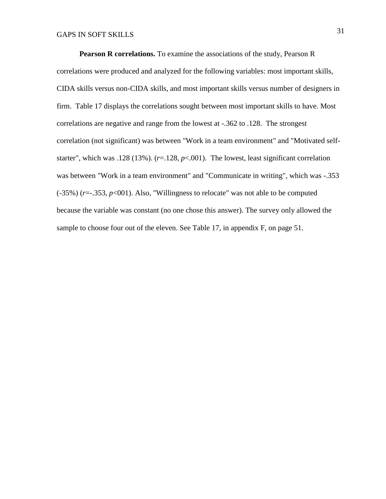**Pearson R correlations.** To examine the associations of the study, Pearson R correlations were produced and analyzed for the following variables: most important skills, CIDA skills versus non-CIDA skills, and most important skills versus number of designers in firm. Table 17 displays the correlations sought between most important skills to have. Most correlations are negative and range from the lowest at -.362 to .128. The strongest correlation (not significant) was between "Work in a team environment" and "Motivated selfstarter", which was .128 (13%). (*r*=.128, *p*<.001). The lowest, least significant correlation was between "Work in a team environment" and "Communicate in writing", which was -.353 (-35%) (*r*=-.353, *p*<001). Also, "Willingness to relocate" was not able to be computed because the variable was constant (no one chose this answer). The survey only allowed the sample to choose four out of the eleven. See Table 17, in appendix F, on page 51.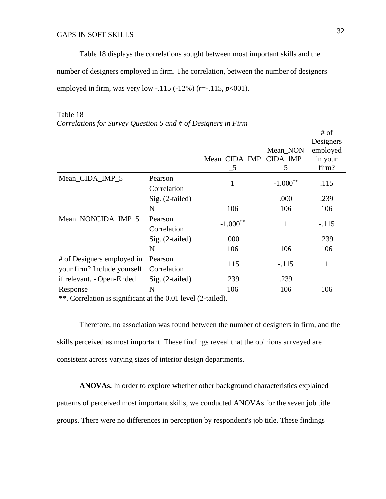Table 18 displays the correlations sought between most important skills and the number of designers employed in firm. The correlation, between the number of designers employed in firm, was very low -.115 (-12%) (*r*=-.115, *p*<001).

|                                                           |                        |                         |            | # of<br>Designers |
|-----------------------------------------------------------|------------------------|-------------------------|------------|-------------------|
|                                                           |                        |                         | Mean_NON   | employed          |
|                                                           |                        | Mean_CIDA_IMP_CIDA_IMP_ |            | in your           |
|                                                           |                        | 5                       | 5          | firm?             |
| Mean_CIDA_IMP_5                                           | Pearson<br>Correlation | 1                       | $-1.000**$ | .115              |
|                                                           | Sig. (2-tailed)        |                         | .000       | .239              |
|                                                           | N                      | 106                     | 106        | 106               |
| Mean_NONCIDA_IMP_5                                        | Pearson<br>Correlation | $-1.000**$              |            | $-.115$           |
|                                                           | Sig. (2-tailed)        | .000                    |            | .239              |
|                                                           | N                      | 106                     | 106        | 106               |
| # of Designers employed in<br>your firm? Include yourself | Pearson<br>Correlation | .115                    | $-.115$    | 1                 |
| if relevant. - Open-Ended                                 | Sig. (2-tailed)        | .239                    | .239       |                   |
| Response                                                  | N                      | 106                     | 106        | 106               |

## Table 18

\*\*. Correlation is significant at the 0.01 level (2-tailed).

Therefore, no association was found between the number of designers in firm, and the skills perceived as most important. These findings reveal that the opinions surveyed are consistent across varying sizes of interior design departments.

**ANOVAs.** In order to explore whether other background characteristics explained patterns of perceived most important skills, we conducted ANOVAs for the seven job title groups. There were no differences in perception by respondent's job title. These findings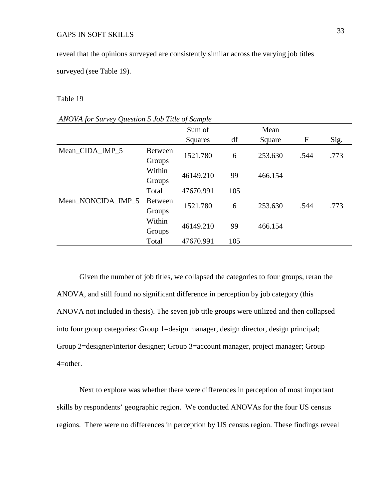reveal that the opinions surveyed are consistently similar across the varying job titles

surveyed (see Table 19).

#### Table 19

#### *ANOVA for Survey Question 5 Job Title of Sample*

|                          | Sum of             |     | Mean    |      |      |
|--------------------------|--------------------|-----|---------|------|------|
|                          | Squares            | df  | Square  | F    | Sig. |
| <b>Between</b><br>Groups | 1521.780           | 6   | 253.630 | .544 | .773 |
| Within<br>Groups         | 46149.210          | 99  | 466.154 |      |      |
| Total                    | 47670.991          | 105 |         |      |      |
| <b>Between</b><br>Groups | 1521.780           | 6   | 253.630 | .544 | .773 |
| Within<br>Groups         | 46149.210          | 99  | 466.154 |      |      |
| Total                    | 47670.991          | 105 |         |      |      |
|                          | Mean_NONCIDA_IMP_5 |     |         |      |      |

Given the number of job titles, we collapsed the categories to four groups, reran the ANOVA, and still found no significant difference in perception by job category (this ANOVA not included in thesis). The seven job title groups were utilized and then collapsed into four group categories: Group 1=design manager, design director, design principal; Group 2=designer/interior designer; Group 3=account manager, project manager; Group 4=other.

Next to explore was whether there were differences in perception of most important skills by respondents' geographic region. We conducted ANOVAs for the four US census regions. There were no differences in perception by US census region. These findings reveal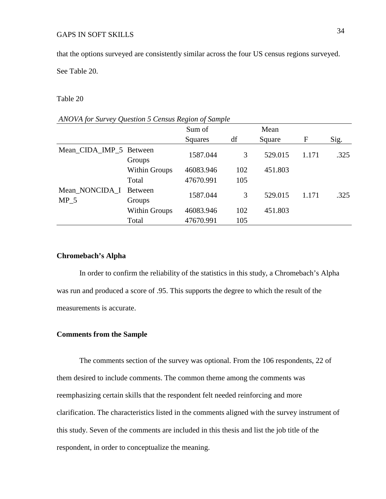that the options surveyed are consistently similar across the four US census regions surveyed.

See Table 20.

#### Table 20

#### *ANOVA for Survey Question 5 Census Region of Sample*

|                         |                      | Sum of    |     | Mean    |       |      |
|-------------------------|----------------------|-----------|-----|---------|-------|------|
|                         |                      | Squares   | df  | Square  | F     | Sig. |
| Mean_CIDA_IMP_5 Between |                      | 1587.044  | 3   | 529.015 | 1.171 | .325 |
|                         | Groups               |           |     |         |       |      |
|                         | <b>Within Groups</b> | 46083.946 | 102 | 451.803 |       |      |
|                         | Total                | 47670.991 | 105 |         |       |      |
| Mean_NONCIDA_I          | <b>Between</b>       | 1587.044  | 3   | 529.015 | 1.171 | .325 |
| MP <sub>5</sub>         | Groups               |           |     |         |       |      |
|                         | <b>Within Groups</b> | 46083.946 | 102 | 451.803 |       |      |
|                         | Total                | 47670.991 | 105 |         |       |      |

#### **Chromebach's Alpha**

In order to confirm the reliability of the statistics in this study, a Chromebach's Alpha was run and produced a score of .95. This supports the degree to which the result of the measurements is accurate.

#### **Comments from the Sample**

The comments section of the survey was optional. From the 106 respondents, 22 of them desired to include comments. The common theme among the comments was reemphasizing certain skills that the respondent felt needed reinforcing and more clarification. The characteristics listed in the comments aligned with the survey instrument of this study. Seven of the comments are included in this thesis and list the job title of the respondent, in order to conceptualize the meaning.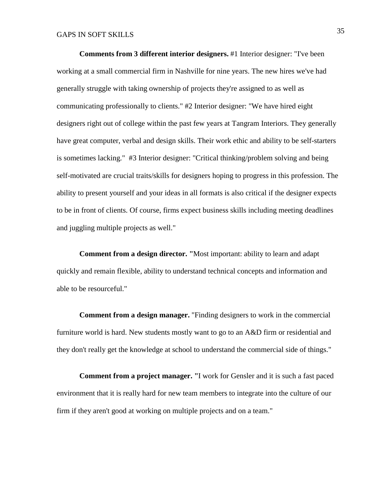**Comments from 3 different interior designers.** #1 Interior designer: "I've been working at a small commercial firm in Nashville for nine years. The new hires we've had generally struggle with taking ownership of projects they're assigned to as well as communicating professionally to clients." #2 Interior designer: "We have hired eight designers right out of college within the past few years at Tangram Interiors. They generally have great computer, verbal and design skills. Their work ethic and ability to be self-starters is sometimes lacking." #3 Interior designer: "Critical thinking/problem solving and being self-motivated are crucial traits/skills for designers hoping to progress in this profession. The ability to present yourself and your ideas in all formats is also critical if the designer expects to be in front of clients. Of course, firms expect business skills including meeting deadlines and juggling multiple projects as well."

**Comment from a design director. "**Most important: ability to learn and adapt quickly and remain flexible, ability to understand technical concepts and information and able to be resourceful."

**Comment from a design manager.** "Finding designers to work in the commercial furniture world is hard. New students mostly want to go to an A&D firm or residential and they don't really get the knowledge at school to understand the commercial side of things."

**Comment from a project manager. "**I work for Gensler and it is such a fast paced environment that it is really hard for new team members to integrate into the culture of our firm if they aren't good at working on multiple projects and on a team."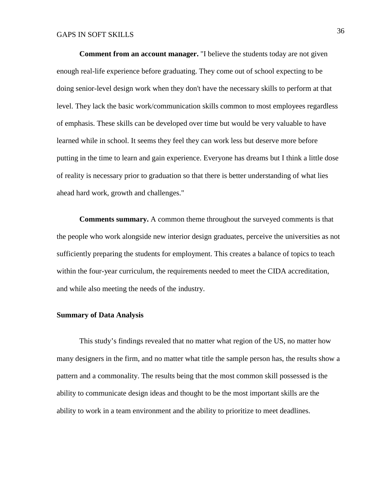**Comment from an account manager.** "I believe the students today are not given enough real-life experience before graduating. They come out of school expecting to be doing senior-level design work when they don't have the necessary skills to perform at that level. They lack the basic work/communication skills common to most employees regardless of emphasis. These skills can be developed over time but would be very valuable to have learned while in school. It seems they feel they can work less but deserve more before putting in the time to learn and gain experience. Everyone has dreams but I think a little dose of reality is necessary prior to graduation so that there is better understanding of what lies ahead hard work, growth and challenges."

**Comments summary.** A common theme throughout the surveyed comments is that the people who work alongside new interior design graduates, perceive the universities as not sufficiently preparing the students for employment. This creates a balance of topics to teach within the four-year curriculum, the requirements needed to meet the CIDA accreditation, and while also meeting the needs of the industry.

#### **Summary of Data Analysis**

This study's findings revealed that no matter what region of the US, no matter how many designers in the firm, and no matter what title the sample person has, the results show a pattern and a commonality. The results being that the most common skill possessed is the ability to communicate design ideas and thought to be the most important skills are the ability to work in a team environment and the ability to prioritize to meet deadlines.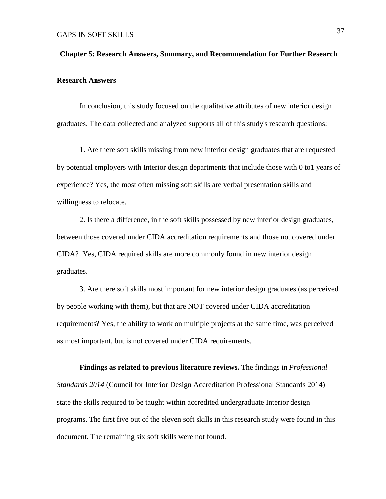# **Chapter 5: Research Answers, Summary, and Recommendation for Further Research Research Answers**

In conclusion, this study focused on the qualitative attributes of new interior design graduates. The data collected and analyzed supports all of this study's research questions:

1. Are there soft skills missing from new interior design graduates that are requested by potential employers with Interior design departments that include those with 0 to1 years of experience? Yes, the most often missing soft skills are verbal presentation skills and willingness to relocate.

2. Is there a difference, in the soft skills possessed by new interior design graduates, between those covered under CIDA accreditation requirements and those not covered under CIDA? Yes, CIDA required skills are more commonly found in new interior design graduates.

3. Are there soft skills most important for new interior design graduates (as perceived by people working with them), but that are NOT covered under CIDA accreditation requirements? Yes, the ability to work on multiple projects at the same time, was perceived as most important, but is not covered under CIDA requirements.

**Findings as related to previous literature reviews.** The findings in *Professional Standards 2014* (Council for Interior Design Accreditation Professional Standards 2014) state the skills required to be taught within accredited undergraduate Interior design programs. The first five out of the eleven soft skills in this research study were found in this document. The remaining six soft skills were not found.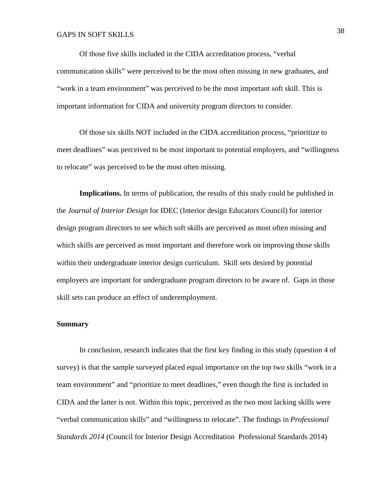Of those five skills included in the CIDA accreditation process, "verbal communication skills" were perceived to be the most often missing in new graduates, and "work in a team environment" was perceived to be the most important soft skill. This is important information for CIDA and university program directors to consider.

Of those six skills NOT included in the CIDA accreditation process, "prioritize to meet deadlines" was perceived to be most important to potential employers, and "willingness to relocate" was perceived to be the most often missing.

**Implications.** In terms of publication, the results of this study could be published in the *Journal of Interior Design* for IDEC (Interior design Educators Council) for interior design program directors to see which soft skills are perceived as most often missing and which skills are perceived as most important and therefore work on improving those skills within their undergraduate interior design curriculum. Skill sets desired by potential employers are important for undergraduate program directors to be aware of. Gaps in those skill sets can produce an effect of underemployment.

#### **Summary**

In conclusion, research indicates that the first key finding in this study (question 4 of survey) is that the sample surveyed placed equal importance on the top two skills "work in a team environment" and "prioritize to meet deadlines," even though the first is included in CIDA and the latter is not. Within this topic, perceived as the two most lacking skills were "verbal communication skills" and "willingness to relocate". The findings in *Professional Standards 2014* (Council for Interior Design Accreditation Professional Standards 2014)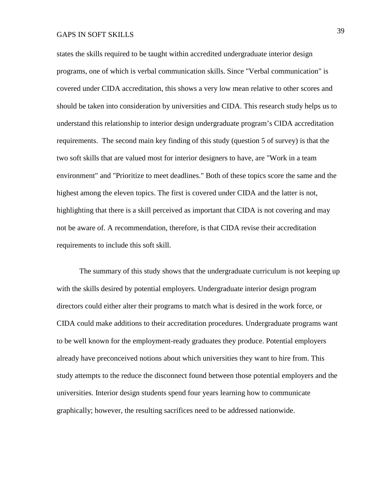states the skills required to be taught within accredited undergraduate interior design programs, one of which is verbal communication skills. Since "Verbal communication" is covered under CIDA accreditation, this shows a very low mean relative to other scores and should be taken into consideration by universities and CIDA. This research study helps us to understand this relationship to interior design undergraduate program's CIDA accreditation requirements. The second main key finding of this study (question 5 of survey) is that the two soft skills that are valued most for interior designers to have, are "Work in a team environment" and "Prioritize to meet deadlines." Both of these topics score the same and the highest among the eleven topics. The first is covered under CIDA and the latter is not, highlighting that there is a skill perceived as important that CIDA is not covering and may not be aware of. A recommendation, therefore, is that CIDA revise their accreditation requirements to include this soft skill.

The summary of this study shows that the undergraduate curriculum is not keeping up with the skills desired by potential employers. Undergraduate interior design program directors could either alter their programs to match what is desired in the work force, or CIDA could make additions to their accreditation procedures. Undergraduate programs want to be well known for the employment-ready graduates they produce. Potential employers already have preconceived notions about which universities they want to hire from. This study attempts to the reduce the disconnect found between those potential employers and the universities. Interior design students spend four years learning how to communicate graphically; however, the resulting sacrifices need to be addressed nationwide.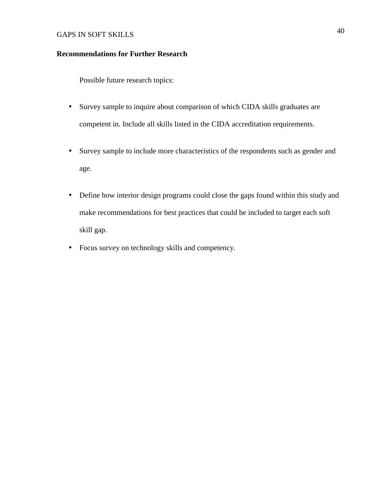#### **Recommendations for Further Research**

Possible future research topics:

- Survey sample to inquire about comparison of which CIDA skills graduates are competent in. Include all skills listed in the CIDA accreditation requirements.
- Survey sample to include more characteristics of the respondents such as gender and age.
- Define how interior design programs could close the gaps found within this study and make recommendations for best practices that could be included to target each soft skill gap.
- Focus survey on technology skills and competency.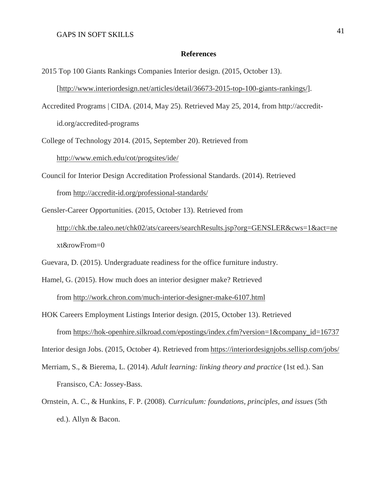#### **References**

- 2015 Top 100 Giants Rankings Companies Interior design. (2015, October 13). [[http://www.interiordesign.net/articles/detail/36673-2015-top-100-giants-rankings/\]](http://www.interiordesign.net/articles/detail/36673-2015-top-100-giants-rankings/).
- Accredited Programs | CIDA. (2014, May 25). Retrieved May 25, 2014, from http://accreditid.org/accredited-programs
- College of Technology 2014. (2015, September 20). Retrieved from

<http://www.emich.edu/cot/progsites/ide/>

- Council for Interior Design Accreditation Professional Standards. (2014). Retrieved from<http://accredit-id.org/professional-standards/>
- Gensler-Career Opportunities. (2015, October 13). Retrieved from <http://chk.tbe.taleo.net/chk02/ats/careers/searchResults.jsp?org=GENSLER&cws=1&act=ne> xt&rowFrom=0

Guevara, D. (2015). Undergraduate readiness for the office furniture industry.

- Hamel, G. (2015). How much does an interior designer make? Retrieved from<http://work.chron.com/much-interior-designer-make-6107.html>
- HOK Careers Employment Listings Interior design. (2015, October 13). Retrieved from [https://hok-openhire.silkroad.com/epostings/index.cfm?version=1&company\\_id=16737](https://hok-openhire.silkroad.com/epostings/index.cfm?version=1&company_id=16737)

Interior design Jobs. (2015, October 4). Retrieved from<https://interiordesignjobs.sellisp.com/jobs/>

- Merriam, S., & Bierema, L. (2014). *Adult learning: linking theory and practice* (1st ed.). San Fransisco, CA: Jossey-Bass.
- Ornstein, A. C., & Hunkins, F. P. (2008). *Curriculum: foundations, principles, and issues* (5th ed.). Allyn & Bacon.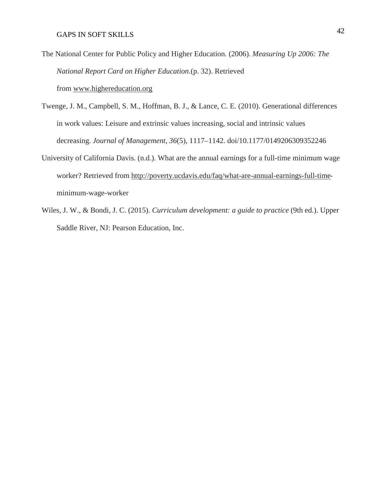- The National Center for Public Policy and Higher Education. (2006). *Measuring Up 2006: The National Report Card on Higher Education.*(p. 32). Retrieved from [www.highereducation.org](http://www.highereducation.org)
- Twenge, J. M., Campbell, S. M., Hoffman, B. J., & Lance, C. E. (2010). Generational differences in work values: Leisure and extrinsic values increasing, social and intrinsic values decreasing. *Journal of Management*, *36*(5), 1117–1142. doi/10.1177/0149206309352246
- University of California Davis. (n.d.). What are the annual earnings for a full-time minimum wage worker? Retrieved from<http://poverty.ucdavis.edu/faq/what-are-annual-earnings-full-time>minimum-wage-worker
- Wiles, J. W., & Bondi, J. C. (2015). *Curriculum development: a guide to practice* (9th ed.). Upper Saddle River, NJ: Pearson Education, Inc.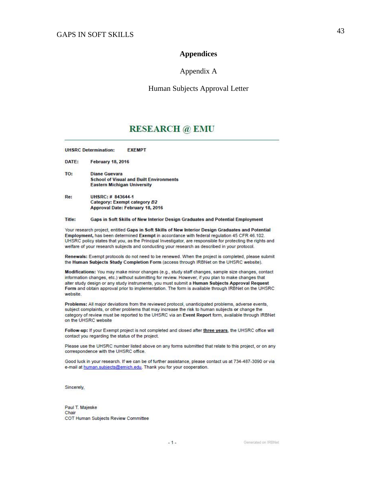#### **Appendices**

#### Appendix A

#### Human Subjects Approval Letter

## **RESEARCH** @ EMU

**UHSRC Determination: EXEMPT** 

DATE: **February 18, 2016** 

TO: **Diane Guevara School of Visual and Built Environments Eastern Michigan University** 

Re: UHSRC: # 843644-1 Category: Exempt category B2 Approval Date: February 18, 2016

#### Title: Gaps in Soft Skills of New Interior Design Graduates and Potential Employment

Your research project, entitled Gaps in Soft Skills of New Interior Design Graduates and Potential Employment, has been determined Exempt in accordance with federal regulation 45 CFR 46.102. UHSRC policy states that you, as the Principal Investigator, are responsible for protecting the rights and welfare of your research subjects and conducting your research as described in your protocol.

Renewals: Exempt protocols do not need to be renewed. When the project is completed, please submit the Human Subjects Study Completion Form (access through IRBNet on the UHSRC website).

Modifications: You may make minor changes (e.g., study staff changes, sample size changes, contact information changes, etc.) without submitting for review. However, if you plan to make changes that alter study design or any study instruments, you must submit a Human Subjects Approval Request Form and obtain approval prior to implementation. The form is available through IRBNet on the UHSRC website.

Problems: All major deviations from the reviewed protocol, unanticipated problems, adverse events, subject complaints, or other problems that may increase the risk to human subjects or change the category of review must be reported to the UHSRC via an Event Report form, available through IRBNet on the UHSRC website

Follow-up: If your Exempt project is not completed and closed after three years, the UHSRC office will contact you regarding the status of the project.

Please use the UHSRC number listed above on any forms submitted that relate to this project, or on any correspondence with the UHSRC office.

Good luck in your research. If we can be of further assistance, please contact us at 734-487-3090 or via e-mail at human.subjects@emich.edu. Thank you for your cooperation.

 $-1-$ 

Sincerely,

Paul T. Majeske Chair COT Human Subjects Review Committee

Generated on IRBNet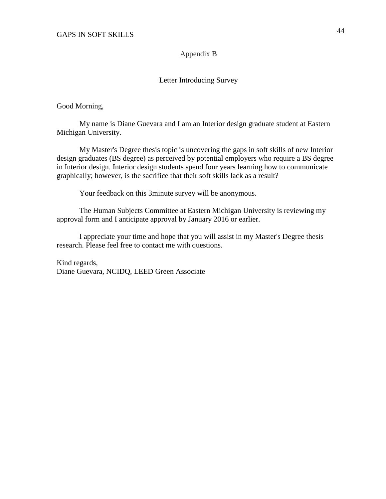#### Appendix B

#### Letter Introducing Survey

Good Morning,

My name is Diane Guevara and I am an Interior design graduate student at Eastern Michigan University.

My Master's Degree thesis topic is uncovering the gaps in soft skills of new Interior design graduates (BS degree) as perceived by potential employers who require a BS degree in Interior design. Interior design students spend four years learning how to communicate graphically; however, is the sacrifice that their soft skills lack as a result?

Your feedback on this 3minute survey will be anonymous.

The Human Subjects Committee at Eastern Michigan University is reviewing my approval form and I anticipate approval by January 2016 or earlier.

I appreciate your time and hope that you will assist in my Master's Degree thesis research. Please feel free to contact me with questions.

Kind regards, Diane Guevara, NCIDQ, LEED Green Associate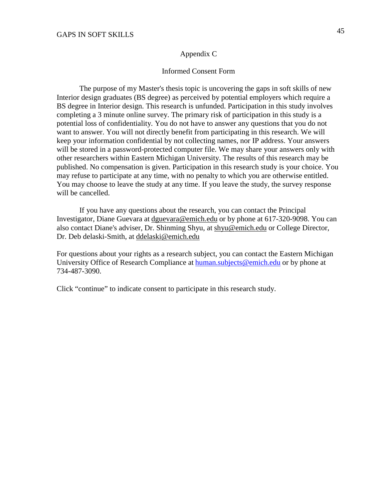#### Appendix C

#### Informed Consent Form

The purpose of my Master's thesis topic is uncovering the gaps in soft skills of new Interior design graduates (BS degree) as perceived by potential employers which require a BS degree in Interior design. This research is unfunded. Participation in this study involves completing a 3 minute online survey. The primary risk of participation in this study is a potential loss of confidentiality. You do not have to answer any questions that you do not want to answer. You will not directly benefit from participating in this research. We will keep your information confidential by not collecting names, nor IP address. Your answers will be stored in a password-protected computer file. We may share your answers only with other researchers within Eastern Michigan University. The results of this research may be published. No compensation is given. Participation in this research study is your choice. You may refuse to participate at any time, with no penalty to which you are otherwise entitled. You may choose to leave the study at any time. If you leave the study, the survey response will be cancelled.

If you have any questions about the research, you can contact the Principal Investigator, Diane Guevara at [dguevara@emich.edu](mailto:dguevara@emich.edu) or by phone at 617-320-9098. You can also contact Diane's adviser, Dr. Shinming Shyu, at [shyu@emich.edu](mailto:shyu@emich.edu) or College Director, Dr. Deb delaski-Smith, at [ddelaski@emich.edu](mailto:ddelaski@emich.edu)

For questions about your rights as a research subject, you can contact the Eastern Michigan University Office of Research Compliance at [human.subjects@emich.edu](mailto:human.subjects@emich.edu) or by phone at 734-487-3090.

Click "continue" to indicate consent to participate in this research study.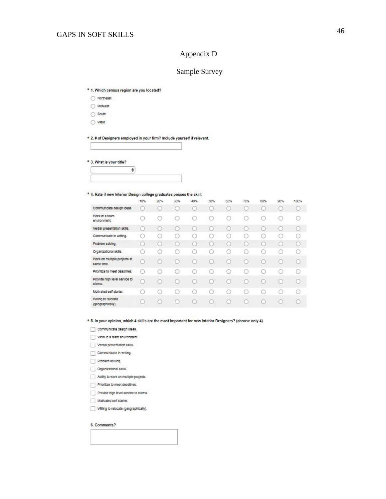#### Appendi x D

#### Sample Surv ey

- \* 1. Which census region are you located?
- ◯ Northeast
- / Midwest
- $\bigcirc$  South
- $\bigcirc$  West

\* 2. # of Designers employed in your firm? Include yourself if relevant.

\* 3. What is your title?

#### \* 4. Rate if new Interior Design college graduates posses the skill:

 $\div$ 

|                                            | 10%                                             | 20% | 30% | 40% | 50% | 60% | 70% | 80% | 90% | 100% |
|--------------------------------------------|-------------------------------------------------|-----|-----|-----|-----|-----|-----|-----|-----|------|
| Communicate design Ideas.                  |                                                 |     |     |     |     | 63  |     |     |     |      |
| Work In a team<br>environment.             |                                                 |     |     | C   |     | œ   |     |     |     |      |
| Verbal presentation skills.                | $\cup$                                          | œ   | O   | C   | r.  |     | C   | G   |     | O    |
| Communicate in writing.                    | O                                               | O   | C   | O   | c   | c   | O   |     |     |      |
| Problem solving.                           | O                                               | c   | C   | C   | r.  | C.  |     | c   |     |      |
| Organizational skills.                     | G                                               |     | c   | o   |     | c   |     |     |     |      |
| Work on multiple projects at<br>same time. |                                                 | œ   |     | C   |     |     |     |     |     |      |
| Prioritize to meet deadlines.              | $\left( \begin{array}{c} 1 \end{array} \right)$ |     | O   | O   |     | o   |     |     |     |      |
| Provide high level service to<br>clients.  |                                                 | 0   |     |     |     |     |     | C.  |     |      |
| Motivated self starter.                    | O                                               |     |     | O   |     |     |     |     |     |      |
| Willing to relocate<br>(geographically).   |                                                 |     | O   | O   |     | o   | 63  |     |     |      |

#### \* 5. In your opinion, which 4 skills are the most important for new Interior Designers? (choose only 4)

- Communicate design ideas.
- Work In a team environment.
- Verbal presentation skills.
- Communicate in writing.
- Problem solving.
- Organizational skills.
- Ability to work on multiple projects.
- $\Box$  Prioritize to meet deadlines.
- Provide high level service to clients.
- Motivated self starter.
- Willing to relocate (geographically).

#### 6. Comments?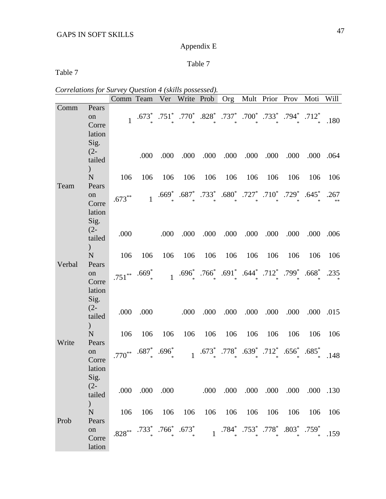# Appendix E

# Table 7

Table 7

| Correlations for Survey Question 4 (skills possessed). |  |  |  |
|--------------------------------------------------------|--|--|--|
|                                                        |  |  |  |

|        |                                   | Comm Team    |                                                                                                        | Ver          | Write Prob                                                                                                                                |                | Org                |         | Mult Prior Prov               |                          | Moti    | Will      |
|--------|-----------------------------------|--------------|--------------------------------------------------------------------------------------------------------|--------------|-------------------------------------------------------------------------------------------------------------------------------------------|----------------|--------------------|---------|-------------------------------|--------------------------|---------|-----------|
| Comm   | Pears<br>on<br>Corre              | $\mathbf{1}$ | $.673*$                                                                                                | $.751*$      | .770 <sup>*</sup> , .828 <sup>*</sup> , .737 <sup>*</sup> , .700 <sup>*</sup> , .733 <sup>*</sup> , .794 <sup>*</sup> , .712 <sup>*</sup> |                |                    |         |                               |                          |         | .180      |
|        | lation<br>Sig.                    |              |                                                                                                        |              |                                                                                                                                           |                |                    |         |                               |                          |         |           |
|        | $(2 -$<br>tailed<br>$\mathcal{C}$ |              | .000                                                                                                   | .000         | .000                                                                                                                                      | .000           | .000               | .000    | .000                          | .000                     | .000    | .064      |
| Team   | ${\bf N}$<br>Pears                | 106          | 106                                                                                                    | 106          | 106                                                                                                                                       | 106            | 106                | 106     | 106                           | 106                      | 106     | 106       |
|        | on<br>Corre<br>lation             | $.673***$    | $\mathbf{1}$                                                                                           |              | .669* .687* .733* .680* .727* .710* .729* .645*                                                                                           |                |                    |         |                               |                          |         | .267      |
|        | Sig.<br>$(2 -$                    |              |                                                                                                        |              |                                                                                                                                           |                |                    |         |                               |                          |         |           |
|        | tailed<br>$\mathcal{L}$           | .000         |                                                                                                        | .000         | .000                                                                                                                                      | .000           | .000               | .000    | .000                          | .000                     | .000    | .006      |
| Verbal | $\mathbf N$<br>Pears              | 106          | 106                                                                                                    | 106          | 106                                                                                                                                       | 106            | 106                | 106     | 106                           | 106                      | 106     | 106       |
|        | on<br>Corre<br>lation             | $.751***$    | $.669*$                                                                                                | $\mathbf{1}$ | $.696*$                                                                                                                                   |                |                    |         | .766* .691* .644* .712* .799* |                          | $.668*$ | .235      |
|        | Sig.<br>$(2 -$<br>tailed          | .000         | .000                                                                                                   |              | .000                                                                                                                                      | .000           | .000               | .000    | .000                          | .000                     | .000    | .015      |
| Write  | $\mathcal{E}$<br>N<br>Pears       | 106          | 106                                                                                                    | 106          | 106                                                                                                                                       | 106            | 106                | 106     | 106                           | 106                      | 106     | 106       |
|        | on<br>Corre                       | $.770***$    | $.687*$                                                                                                | $.696*$      | $\mathbf{1}$                                                                                                                              | $.673^{*}_{*}$ | $.778^*$<br>$\ast$ | $.639*$ | $.712*$<br>$\ast$             | $.656*$                  | $.685*$ | .148      |
|        | lation<br>Sig.                    |              |                                                                                                        |              |                                                                                                                                           |                |                    |         |                               |                          |         |           |
|        | $(2 -$<br>tailed                  |              | .000 .000 .000                                                                                         |              |                                                                                                                                           |                |                    |         |                               | 000. 000. 000. 000. 000. |         | .000 .130 |
|        | $\overline{)}$<br>N               | 106          | 106                                                                                                    | 106          | 106                                                                                                                                       | 106            | 106                | 106     | 106                           | 106                      | 106     | 106       |
| Prob   | Pears<br>on<br>Corre<br>lation    |              | $828^{**}$ $.733^{*}$ $.766^{*}$ $.673^{*}$ $1$ $.784^{*}$ $.753^{*}$ $.778^{*}$ $.803^{*}$ $.759^{*}$ |              |                                                                                                                                           |                |                    |         |                               |                          |         | .159      |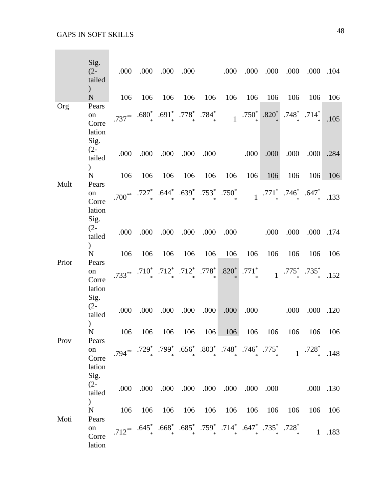|       | Sig.<br>$(2 -$<br>tailed                  | .000                          | .000                                                                                                                                                               | .000                       | .000                    |      | .000         | .000          | .000           | .000                                                      |                            | .000 .104 |
|-------|-------------------------------------------|-------------------------------|--------------------------------------------------------------------------------------------------------------------------------------------------------------------|----------------------------|-------------------------|------|--------------|---------------|----------------|-----------------------------------------------------------|----------------------------|-----------|
|       | $\mathcal{C}$<br>$\mathbf N$              | 106                           | 106                                                                                                                                                                | 106                        | 106                     | 106  | 106          | 106           | 106            | 106                                                       | 106                        | 106       |
| Org   | Pears<br>on<br>Corre<br>lation<br>Sig.    | $.737***$                     | $.680^*$ $.691^*$ $.778^*$ $.784^*$                                                                                                                                |                            |                         |      | $\mathbf{1}$ | $.750*$       | $.820*$        |                                                           | $.748^*$ .714 <sup>*</sup> | .105      |
|       | $(2 -$<br>tailed<br>$\mathcal{E}$         | .000                          | .000                                                                                                                                                               | .000                       | .000                    | .000 |              | .000          | .000           | .000                                                      | .000                       | .284      |
| Mult  | $\mathbf N$<br>Pears                      | 106                           | 106                                                                                                                                                                | 106                        | 106                     | 106  | 106          | 106           | 106            | 106                                                       | 106                        | 106       |
|       | on<br>Corre<br>lation                     | $.700^{**}$ .727 <sup>*</sup> |                                                                                                                                                                    |                            | .644* .639* .753* .750* |      |              |               |                | $1$ .771 <sup>*</sup> .746 <sup>*</sup> .647 <sup>*</sup> |                            | .133      |
|       | Sig.<br>$(2 -$<br>tailed<br>$\mathcal{L}$ | .000                          | .000                                                                                                                                                               | .000                       | .000                    | .000 | .000         |               | .000           | .000                                                      | .000                       | .174      |
|       | $\mathbf N$                               | 106                           | 106                                                                                                                                                                | 106                        | 106                     | 106  | 106          | 106           | 106            | 106                                                       | 106                        | 106       |
| Prior | Pears<br>on<br>Corre<br>lation            | $.733***$                     | $.710*$                                                                                                                                                            | $.712^*$ $.712^*$ $.778^*$ |                         |      | $.820*$      | $.771^{\ast}$ | $\overline{1}$ | .775 * 735 *.                                             |                            | .152      |
|       | Sig.<br>$(2 -$<br>tailed<br>$\mathcal{C}$ | .000                          | .000                                                                                                                                                               | .000                       | .000                    | .000 | .000         | .000          |                | .000                                                      | .000                       | .120      |
|       | $\mathbf N$                               | 106                           | 106                                                                                                                                                                | 106                        | 106                     | 106  | 106          | 106           | 106            | 106                                                       | 106                        | 106       |
| Prov  | Pears<br>on<br>Corre<br>lation            |                               | .794** $.729^*$ .799* $.656^*$ .803* .748* .746* .775* 1.728* .148                                                                                                 |                            |                         |      |              |               |                |                                                           |                            |           |
|       | Sig.<br>$(2 -$<br>tailed<br>$\mathcal{L}$ | .000                          | .000                                                                                                                                                               |                            | .000 .000               | .000 | .000         |               | .000 .000      |                                                           |                            | .000 .130 |
| Moti  | N<br>Pears                                | 106                           | 106                                                                                                                                                                | 106                        | 106                     | 106  |              | 106 106       | 106            | 106                                                       | 106                        | 106       |
|       | on<br>Corre<br>lation                     |                               | .712 <sup>**</sup> .645 <sup>*</sup> .668 <sup>*</sup> .685 <sup>*</sup> .759 <sup>*</sup> .714 <sup>*</sup> .647 <sup>*</sup> .735 <sup>*</sup> .728 <sup>*</sup> |                            |                         |      |              |               |                |                                                           | $\overline{1}$             | .183      |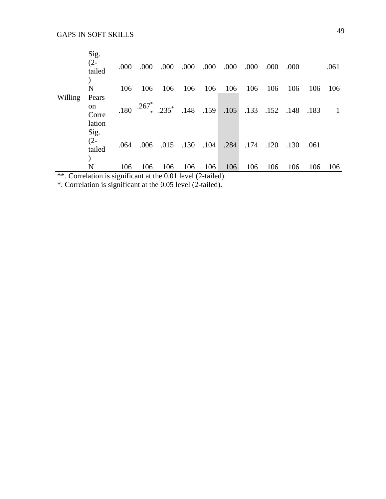| $\sim$  | $\blacksquare$ | $\cdot$ $\sim$ |      | 0.011                    |      | $\sim$ 1 $\sqrt{2}$ $\sim$ 11 11 |      |      |               |      |      |              |
|---------|----------------|----------------|------|--------------------------|------|----------------------------------|------|------|---------------|------|------|--------------|
|         | N              | 106            | 106  | 106                      | 106  | 106                              | 106  | 106  | 106           | 106  | 106  | 106          |
|         |                |                |      |                          |      |                                  |      |      |               |      |      |              |
|         | tailed         |                |      |                          |      |                                  |      |      |               |      |      |              |
|         | $(2 -$         | .064           | .006 | .015                     | .130 | .104                             | .284 | .174 | .120          | .130 | .061 |              |
|         | Sig.           |                |      |                          |      |                                  |      |      |               |      |      |              |
|         | lation         |                |      |                          |      |                                  |      |      |               |      |      |              |
|         | Corre          |                |      |                          |      |                                  |      |      |               |      |      |              |
|         | on             | .180           |      | $.267^*$ $.235^*$ $.148$ |      | .159                             | .105 |      | $.133$ $.152$ | .148 | .183 | $\mathbf{1}$ |
| Willing | Pears          |                |      |                          |      |                                  |      |      |               |      |      |              |
|         | N              | 106            | 106  | 106                      | 106  | 106                              | 106  | 106  | 106           | 106  | 106  | 106          |
|         |                |                |      |                          |      |                                  |      |      |               |      |      |              |
|         | tailed         |                |      |                          |      |                                  |      |      |               |      |      |              |
|         | $(2 -$         | .000           | .000 | .000                     | .000 | .000                             | .000 | .000 | .000          | .000 |      | .061         |
|         | Sig.           |                |      |                          |      |                                  |      |      |               |      |      |              |

\*\*. Correlation is significant at the 0.01 level (2-tailed).

\*. Correlation is significant at the 0.05 level (2-tailed).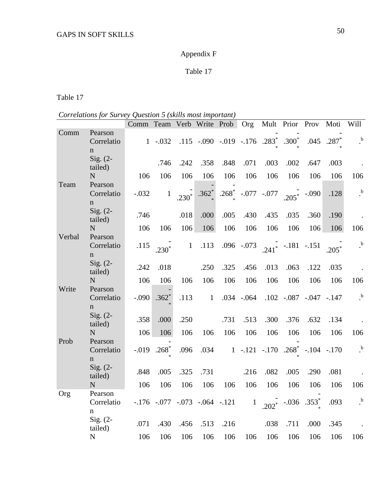# Appendix F

# Table 17

Table 17

| Correlations for Survey Question 5 (skills most important) |  |  |
|------------------------------------------------------------|--|--|
|                                                            |  |  |

|        |                                       | Comm Team Verb Write Prob Org |                                                                   |              |                                    |            |                                |              |                                     |                             | Mult Prior Prov Moti Will |                      |
|--------|---------------------------------------|-------------------------------|-------------------------------------------------------------------|--------------|------------------------------------|------------|--------------------------------|--------------|-------------------------------------|-----------------------------|---------------------------|----------------------|
| Comm   | Pearson<br>Correlatio<br>$\mathbf n$  |                               | $1 - .032$                                                        |              | .115 -.090 -.019 -.176 .283* .300* |            |                                |              |                                     |                             | $.045$ $.287*$            | $\cdot^{\mathrm{b}}$ |
|        | $Sig. (2-$<br>tailed)                 |                               | .746                                                              | .242         | .358                               | .848       | .071                           | .003         | .002                                | .647                        | .003                      |                      |
|        | N                                     | 106                           | 106                                                               | 106          | 106                                | 106        | 106                            | 106          | 106                                 | 106                         | 106                       | 106                  |
| Team   | Pearson<br>Correlatio<br>$\mathbf n$  | $-.032$                       | $\,1\,$                                                           | $.230*$      | $.362*$                            | $.268^{*}$ |                                | $-.077-.077$ | $.205*$                             | $-.090$                     | .128                      | $\cdot^{\mathrm{b}}$ |
|        | Sig. $(2-$<br>tailed)                 | .746                          |                                                                   | .018         | .000                               | .005       | .430                           | .435         | .035                                | .360                        | .190                      |                      |
|        | N                                     | 106                           | 106                                                               | 106          | 106                                | 106        | 106                            | 106          | 106                                 | 106                         | 106                       | 106                  |
| Verbal | Pearson<br>Correlatio<br>$\mathbf n$  | .115                          | $.230*$                                                           | $\mathbf{1}$ | .113                               |            | $.096 - .073$                  |              | $.241$ <sup>*</sup> $-.181$ $-.151$ |                             | $.205*$                   | $\cdot$ <sup>b</sup> |
|        | Sig. $(2-$<br>tailed)                 | .242                          | .018                                                              |              | .250                               | .325       | .456                           | .013         | .063                                | .122                        | .035                      |                      |
|        | N                                     | 106                           | 106                                                               | 106          | 106                                | 106        | 106                            | 106          | 106                                 | 106                         | 106                       | 106                  |
| Write  | Pearson<br>Correlatio<br>$\mathbf n$  | $-.090$                       | $.362*$                                                           | .113         | $\mathbf{1}$                       |            | $.034-.064$                    |              |                                     | $.102 - .087 - .047 - .147$ |                           | $\cdot$ b            |
|        | Sig. $(2-$<br>tailed)                 | .358                          | .000                                                              | .250         |                                    | .731       | .513                           | .300         | .376                                | .632                        | .134                      |                      |
|        | ${\bf N}$                             | 106                           | 106                                                               | 106          | 106                                | 106        | 106                            | 106          | 106                                 | 106                         | 106                       | 106                  |
| Prob   | Pearson<br>Correlatio<br>$\mathbf{n}$ |                               | $-.019$ .268 <sup>*</sup>                                         | .096         | .034                               |            | $1-.121-.170.268$ <sup>*</sup> |              |                                     |                             | $-.104-.170$              | $\cdot$ ,            |
|        | Sig. $(2-$<br>tailed)                 | .848                          | .005                                                              | .325         | .731                               |            | .216                           | .082         | .005                                | .290                        | .081                      |                      |
|        | N                                     | 106                           | 106                                                               | 106          | 106                                | 106        | 106                            | 106          | 106                                 | 106                         | 106                       | 106                  |
| Org    | Pearson<br>Correlatio<br>$\mathbf n$  |                               | $-.176$ $-.077$ $-.073$ $-.064$ $-.121$ $1$ $.202$ $-.036$ $.353$ |              |                                    |            |                                |              |                                     |                             | .093                      | $\cdot$              |
|        | Sig. $(2-$<br>tailed)                 | .071                          | .430                                                              | .456         | .513                               | .216       |                                | .038         | .711                                | .000                        | .345                      |                      |
|        | ${\bf N}$                             | 106                           | 106                                                               | 106          | 106                                | 106        | 106                            | 106          | 106                                 | 106                         | 106                       | 106                  |